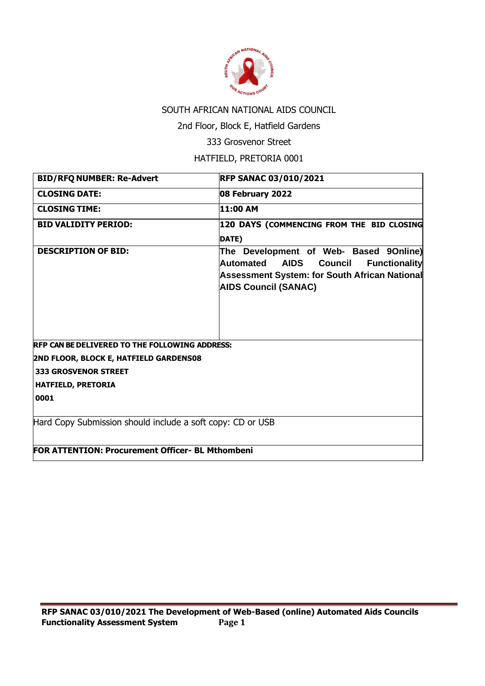

## SOUTH AFRICAN NATIONAL AIDS COUNCIL

# 2nd Floor, Block E, Hatfield Gardens

# 333 Grosvenor Street

#### HATFIELD, PRETORIA 0001

| <b>BID/RFQ NUMBER: Re-Advert</b>                           | <b>RFP SANAC 03/010/2021</b>                                                                                                                                                                        |  |  |  |  |
|------------------------------------------------------------|-----------------------------------------------------------------------------------------------------------------------------------------------------------------------------------------------------|--|--|--|--|
| <b>CLOSING DATE:</b>                                       | 08 February 2022                                                                                                                                                                                    |  |  |  |  |
| <b>CLOSING TIME:</b>                                       | 11:00 AM                                                                                                                                                                                            |  |  |  |  |
| <b>BID VALIDITY PERIOD:</b>                                | 120 DAYS (COMMENCING FROM THE BID CLOSING<br>DATE)                                                                                                                                                  |  |  |  |  |
| <b>DESCRIPTION OF BID:</b>                                 | The Development of Web- Based 9Online)<br><b>AIDS</b><br><b>Council</b><br><b>Automated</b><br><b>Functionality</b><br>Assessment System: for South African National<br><b>AIDS Council (SANAC)</b> |  |  |  |  |
| <b>RFP CAN BE DELIVERED TO THE FOLLOWING ADDRESS:</b>      |                                                                                                                                                                                                     |  |  |  |  |
| 2ND FLOOR, BLOCK E, HATFIELD GARDENS08                     |                                                                                                                                                                                                     |  |  |  |  |
| <b>333 GROSVENOR STREET</b>                                |                                                                                                                                                                                                     |  |  |  |  |
| <b>HATFIELD, PRETORIA</b>                                  |                                                                                                                                                                                                     |  |  |  |  |
| 0001                                                       |                                                                                                                                                                                                     |  |  |  |  |
| Hard Copy Submission should include a soft copy: CD or USB |                                                                                                                                                                                                     |  |  |  |  |
| FOR ATTENTION: Procurement Officer- BL Mthombeni           |                                                                                                                                                                                                     |  |  |  |  |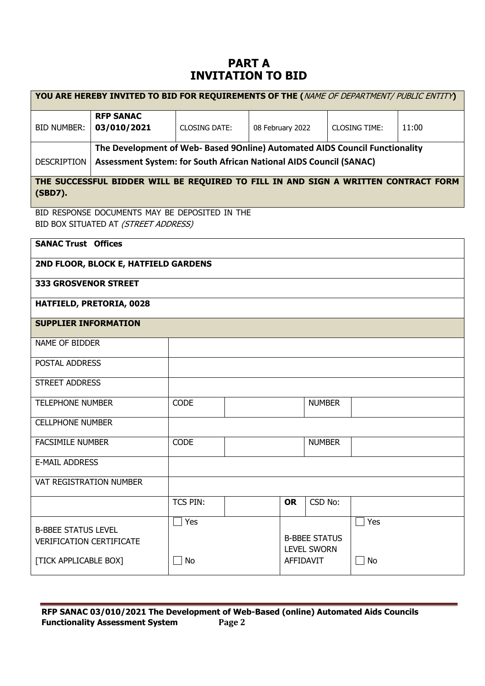# **PART A INVITATION TO BID**

| YOU ARE HEREBY INVITED TO BID FOR REQUIREMENTS OF THE (NAME OF DEPARTMENT/ PUBLIC ENTITY)     |                                                                                                                                                   |                                                                                                                          |  |                  |           |               |                      |       |  |
|-----------------------------------------------------------------------------------------------|---------------------------------------------------------------------------------------------------------------------------------------------------|--------------------------------------------------------------------------------------------------------------------------|--|------------------|-----------|---------------|----------------------|-------|--|
| <b>BID NUMBER:</b>                                                                            | <b>RFP SANAC</b><br>03/010/2021                                                                                                                   | <b>CLOSING DATE:</b>                                                                                                     |  | 08 February 2022 |           |               | <b>CLOSING TIME:</b> | 11:00 |  |
| <b>DESCRIPTION</b>                                                                            | The Development of Web- Based 90nline) Automated AIDS Council Functionality<br>Assessment System: for South African National AIDS Council (SANAC) |                                                                                                                          |  |                  |           |               |                      |       |  |
| (SBD7).                                                                                       | THE SUCCESSFUL BIDDER WILL BE REQUIRED TO FILL IN AND SIGN A WRITTEN CONTRACT FORM                                                                |                                                                                                                          |  |                  |           |               |                      |       |  |
|                                                                                               | BID RESPONSE DOCUMENTS MAY BE DEPOSITED IN THE<br>BID BOX SITUATED AT (STREET ADDRESS)                                                            |                                                                                                                          |  |                  |           |               |                      |       |  |
| <b>SANAC Trust Offices</b>                                                                    |                                                                                                                                                   |                                                                                                                          |  |                  |           |               |                      |       |  |
|                                                                                               | 2ND FLOOR, BLOCK E, HATFIELD GARDENS                                                                                                              |                                                                                                                          |  |                  |           |               |                      |       |  |
| <b>333 GROSVENOR STREET</b>                                                                   |                                                                                                                                                   |                                                                                                                          |  |                  |           |               |                      |       |  |
|                                                                                               | HATFIELD, PRETORIA, 0028                                                                                                                          |                                                                                                                          |  |                  |           |               |                      |       |  |
| <b>SUPPLIER INFORMATION</b>                                                                   |                                                                                                                                                   |                                                                                                                          |  |                  |           |               |                      |       |  |
| NAME OF BIDDER                                                                                |                                                                                                                                                   |                                                                                                                          |  |                  |           |               |                      |       |  |
|                                                                                               | POSTAL ADDRESS                                                                                                                                    |                                                                                                                          |  |                  |           |               |                      |       |  |
| <b>STREET ADDRESS</b>                                                                         |                                                                                                                                                   |                                                                                                                          |  |                  |           |               |                      |       |  |
| <b>TELEPHONE NUMBER</b>                                                                       |                                                                                                                                                   | <b>CODE</b>                                                                                                              |  |                  |           | <b>NUMBER</b> |                      |       |  |
| <b>CELLPHONE NUMBER</b>                                                                       |                                                                                                                                                   |                                                                                                                          |  |                  |           |               |                      |       |  |
| <b>FACSIMILE NUMBER</b>                                                                       |                                                                                                                                                   | <b>CODE</b>                                                                                                              |  |                  |           | <b>NUMBER</b> |                      |       |  |
| <b>E-MAIL ADDRESS</b>                                                                         |                                                                                                                                                   |                                                                                                                          |  |                  |           |               |                      |       |  |
| VAT REGISTRATION NUMBER                                                                       |                                                                                                                                                   |                                                                                                                          |  |                  |           |               |                      |       |  |
|                                                                                               |                                                                                                                                                   | <b>TCS PIN:</b>                                                                                                          |  |                  | <b>OR</b> | CSD No:       |                      |       |  |
| <b>B-BBEE STATUS LEVEL</b><br><b>VERIFICATION CERTIFICATE</b><br><b>[TICK APPLICABLE BOX]</b> |                                                                                                                                                   | $\Box$ Yes<br>Yes<br><b>B-BBEE STATUS</b><br><b>LEVEL SWORN</b><br>$\Box$ No<br>No<br><b>AFFIDAVIT</b><br>$\blacksquare$ |  |                  |           |               |                      |       |  |
|                                                                                               |                                                                                                                                                   |                                                                                                                          |  |                  |           |               |                      |       |  |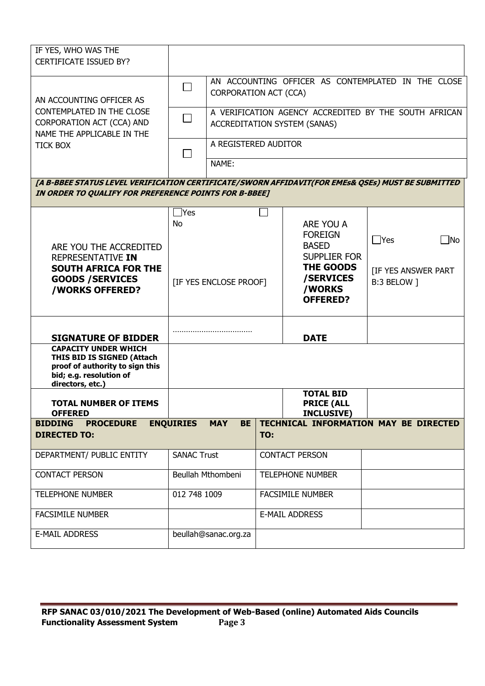| IF YES, WHO WAS THE<br><b>CERTIFICATE ISSUED BY?</b>                                                                                                       |                                                                                  |                         |                                                                                              |                                                                    |                                           |  |
|------------------------------------------------------------------------------------------------------------------------------------------------------------|----------------------------------------------------------------------------------|-------------------------|----------------------------------------------------------------------------------------------|--------------------------------------------------------------------|-------------------------------------------|--|
| AN ACCOUNTING OFFICER AS                                                                                                                                   | AN ACCOUNTING OFFICER AS CONTEMPLATED IN THE CLOSE<br>Г<br>CORPORATION ACT (CCA) |                         |                                                                                              |                                                                    |                                           |  |
| CONTEMPLATED IN THE CLOSE<br>CORPORATION ACT (CCA) AND<br>NAME THE APPLICABLE IN THE                                                                       | $\Box$                                                                           |                         | A VERIFICATION AGENCY ACCREDITED BY THE SOUTH AFRICAN<br><b>ACCREDITATION SYSTEM (SANAS)</b> |                                                                    |                                           |  |
| <b>TICK BOX</b>                                                                                                                                            |                                                                                  | A REGISTERED AUDITOR    |                                                                                              |                                                                    |                                           |  |
|                                                                                                                                                            |                                                                                  | NAME:                   |                                                                                              |                                                                    |                                           |  |
| [A B-BBEE STATUS LEVEL VERIFICATION CERTIFICATE/SWORN AFFIDAVIT(FOR EMES& QSEs) MUST BE SUBMITTED<br>IN ORDER TO QUALIFY FOR PREFERENCE POINTS FOR B-BBEE] |                                                                                  |                         |                                                                                              |                                                                    |                                           |  |
|                                                                                                                                                            | ้∣Yes                                                                            |                         |                                                                                              |                                                                    |                                           |  |
| ARE YOU THE ACCREDITED<br><b>REPRESENTATIVE IN</b>                                                                                                         | <b>No</b>                                                                        |                         |                                                                                              | ARE YOU A<br><b>FOREIGN</b><br><b>BASED</b><br><b>SUPPLIER FOR</b> | $\Box$ Yes<br>$\Box$ No                   |  |
| <b>SOUTH AFRICA FOR THE</b><br><b>GOODS / SERVICES</b><br>/WORKS OFFERED?                                                                                  | [IF YES ENCLOSE PROOF]                                                           |                         |                                                                                              | <b>THE GOODS</b><br>/SERVICES<br>/WORKS<br><b>OFFERED?</b>         | <b>[IF YES ANSWER PART</b><br>B:3 BELOW ] |  |
| <b>SIGNATURE OF BIDDER</b>                                                                                                                                 |                                                                                  |                         |                                                                                              | <b>DATE</b>                                                        |                                           |  |
| <b>CAPACITY UNDER WHICH</b><br>THIS BID IS SIGNED (Attach<br>proof of authority to sign this<br>bid; e.g. resolution of<br>directors, etc.)                |                                                                                  |                         |                                                                                              |                                                                    |                                           |  |
| <b>TOTAL NUMBER OF ITEMS</b><br><b>OFFERED</b>                                                                                                             |                                                                                  |                         |                                                                                              | <b>TOTAL BID</b><br><b>PRICE (ALL</b><br><b>INCLUSIVE)</b>         |                                           |  |
| <b>BIDDING</b><br><b>PROCEDURE</b>                                                                                                                         | <b>ENQUIRIES</b>                                                                 | <b>MAY</b><br><b>BE</b> |                                                                                              |                                                                    | TECHNICAL INFORMATION MAY BE DIRECTED     |  |
| <b>DIRECTED TO:</b>                                                                                                                                        |                                                                                  |                         | TO:                                                                                          |                                                                    |                                           |  |
| DEPARTMENT/ PUBLIC ENTITY                                                                                                                                  | <b>SANAC Trust</b>                                                               |                         | <b>CONTACT PERSON</b>                                                                        |                                                                    |                                           |  |
| <b>CONTACT PERSON</b>                                                                                                                                      |                                                                                  | Beullah Mthombeni       |                                                                                              | <b>TELEPHONE NUMBER</b>                                            |                                           |  |
| <b>TELEPHONE NUMBER</b>                                                                                                                                    | 012 748 1009                                                                     |                         | <b>FACSIMILE NUMBER</b>                                                                      |                                                                    |                                           |  |
| <b>FACSIMILE NUMBER</b>                                                                                                                                    |                                                                                  |                         | <b>E-MAIL ADDRESS</b>                                                                        |                                                                    |                                           |  |
| <b>E-MAIL ADDRESS</b>                                                                                                                                      |                                                                                  | beullah@sanac.org.za    |                                                                                              |                                                                    |                                           |  |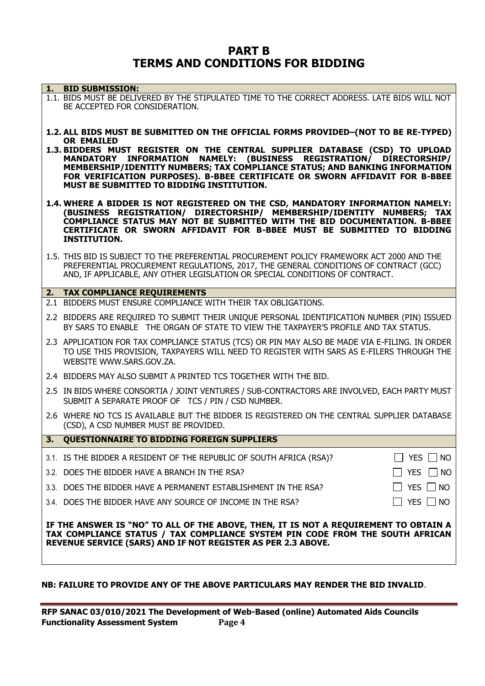# **PART B TERMS AND CONDITIONS FOR BIDDING**

|    | 1. BID SUBMISSION:                                                                                                                                                                                                                                                                                                                                             |               |
|----|----------------------------------------------------------------------------------------------------------------------------------------------------------------------------------------------------------------------------------------------------------------------------------------------------------------------------------------------------------------|---------------|
|    | 1.1. BIDS MUST BE DELIVERED BY THE STIPULATED TIME TO THE CORRECT ADDRESS. LATE BIDS WILL NOT<br>BE ACCEPTED FOR CONSIDERATION.                                                                                                                                                                                                                                |               |
|    | 1.2. ALL BIDS MUST BE SUBMITTED ON THE OFFICIAL FORMS PROVIDED-(NOT TO BE RE-TYPED)<br><b>OR EMAILED</b>                                                                                                                                                                                                                                                       |               |
|    | 1.3. BIDDERS MUST REGISTER ON THE CENTRAL SUPPLIER DATABASE (CSD) TO UPLOAD<br>MANDATORY INFORMATION NAMELY: (BUSINESS REGISTRATION) DIRECTORSHIP/<br>MEMBERSHIP/IDENTITY NUMBERS; TAX COMPLIANCE STATUS; AND BANKING INFORMATION<br>FOR VERIFICATION PURPOSES). B-BBEE CERTIFICATE OR SWORN AFFIDAVIT FOR B-BBEE<br>MUST BE SUBMITTED TO BIDDING INSTITUTION. |               |
|    | 1.4. WHERE A BIDDER IS NOT REGISTERED ON THE CSD, MANDATORY INFORMATION NAMELY:<br>(BUSINESS REGISTRATION/ DIRECTORSHIP/ MEMBERSHIP/IDENTITY NUMBERS; TAX<br>COMPLIANCE STATUS MAY NOT BE SUBMITTED WITH THE BID DOCUMENTATION. B-BBEE<br>CERTIFICATE OR SWORN AFFIDAVIT FOR B-BBEE MUST BE SUBMITTED TO BIDDING<br><b>INSTITUTION.</b>                        |               |
|    | 1.5. THIS BID IS SUBJECT TO THE PREFERENTIAL PROCUREMENT POLICY FRAMEWORK ACT 2000 AND THE<br>PREFERENTIAL PROCUREMENT REGULATIONS, 2017, THE GENERAL CONDITIONS OF CONTRACT (GCC)<br>AND, IF APPLICABLE, ANY OTHER LEGISLATION OR SPECIAL CONDITIONS OF CONTRACT.                                                                                             |               |
|    | 2. TAX COMPLIANCE REQUIREMENTS                                                                                                                                                                                                                                                                                                                                 |               |
|    | 2.1 BIDDERS MUST ENSURE COMPLIANCE WITH THEIR TAX OBLIGATIONS.                                                                                                                                                                                                                                                                                                 |               |
|    | 2.2 BIDDERS ARE REQUIRED TO SUBMIT THEIR UNIQUE PERSONAL IDENTIFICATION NUMBER (PIN) ISSUED<br>BY SARS TO ENABLE THE ORGAN OF STATE TO VIEW THE TAXPAYER'S PROFILE AND TAX STATUS.                                                                                                                                                                             |               |
|    | 2.3 APPLICATION FOR TAX COMPLIANCE STATUS (TCS) OR PIN MAY ALSO BE MADE VIA E-FILING. IN ORDER<br>TO USE THIS PROVISION, TAXPAYERS WILL NEED TO REGISTER WITH SARS AS E-FILERS THROUGH THE<br>WEBSITE WWW.SARS.GOV.ZA.                                                                                                                                         |               |
|    | 2.4 BIDDERS MAY ALSO SUBMIT A PRINTED TCS TOGETHER WITH THE BID.                                                                                                                                                                                                                                                                                               |               |
|    | 2.5 IN BIDS WHERE CONSORTIA / JOINT VENTURES / SUB-CONTRACTORS ARE INVOLVED, EACH PARTY MUST<br>SUBMIT A SEPARATE PROOF OF TCS / PIN / CSD NUMBER.                                                                                                                                                                                                             |               |
|    | 2.6 WHERE NO TCS IS AVAILABLE BUT THE BIDDER IS REGISTERED ON THE CENTRAL SUPPLIER DATABASE<br>(CSD), A CSD NUMBER MUST BE PROVIDED.                                                                                                                                                                                                                           |               |
| 3. | QUESTIONNAIRE TO BIDDING FOREIGN SUPPLIERS                                                                                                                                                                                                                                                                                                                     |               |
|    | 3.1. IS THE BIDDER A RESIDENT OF THE REPUBLIC OF SOUTH AFRICA (RSA)?                                                                                                                                                                                                                                                                                           | $YES \Box NO$ |
|    | 3.2. DOES THE BIDDER HAVE A BRANCH IN THE RSA?                                                                                                                                                                                                                                                                                                                 | YES INO       |
|    | 3.3. DOES THE BIDDER HAVE A PERMANENT ESTABLISHMENT IN THE RSA?                                                                                                                                                                                                                                                                                                | $YES \Box NO$ |
|    | 3.4. DOES THE BIDDER HAVE ANY SOURCE OF INCOME IN THE RSA?                                                                                                                                                                                                                                                                                                     | YES $\Box$ NO |
|    | IF THE ANSWER IS "NO" TO ALL OF THE ABOVE, THEN, IT IS NOT A REQUIREMENT TO OBTAIN A<br>TAX COMPLIANCE STATUS / TAX COMPLIANCE SYSTEM PIN CODE FROM THE SOUTH AFRICAN<br>REVENUE SERVICE (SARS) AND IF NOT REGISTER AS PER 2.3 ABOVE.                                                                                                                          |               |

## **NB: FAILURE TO PROVIDE ANY OF THE ABOVE PARTICULARS MAY RENDER THE BID INVALID**.

**RFP SANAC 03/010/2021 The Development of Web-Based (online) Automated Aids Councils Functionality Assessment System** Page 4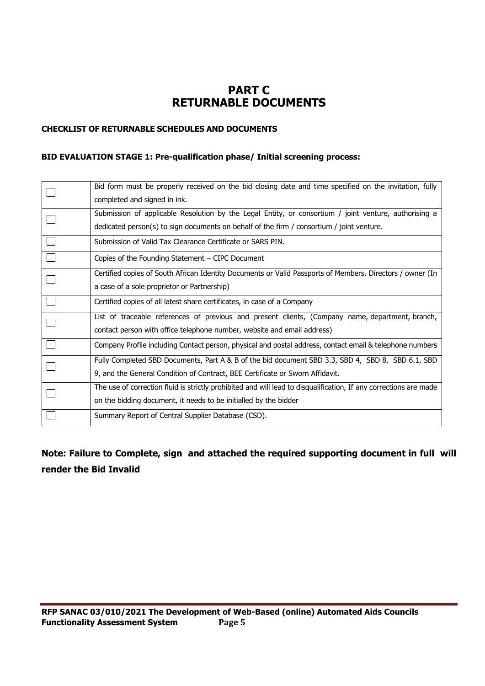# **PART C RETURNABLE DOCUMENTS**

#### **CHECKLIST OF RETURNABLE SCHEDULES AND DOCUMENTS**

#### **BID EVALUATION STAGE 1: Pre-qualification phase/ Initial screening process:**

| Bid form must be properly received on the bid closing date and time specified on the invitation, fully            |
|-------------------------------------------------------------------------------------------------------------------|
| completed and signed in ink.                                                                                      |
| Submission of applicable Resolution by the Legal Entity, or consortium / joint venture, authorising a             |
| dedicated person(s) to sign documents on behalf of the firm / consortium / joint venture.                         |
| Submission of Valid Tax Clearance Certificate or SARS PIN.                                                        |
| Copies of the Founding Statement – CIPC Document                                                                  |
| Certified copies of South African Identity Documents or Valid Passports of Members. Directors / owner (In         |
| a case of a sole proprietor or Partnership)                                                                       |
| Certified copies of all latest share certificates, in case of a Company                                           |
| List of traceable references of previous and present clients, (Company name, department, branch,                  |
| contact person with office telephone number, website and email address)                                           |
| Company Profile including Contact person, physical and postal address, contact email & telephone numbers          |
| Fully Completed SBD Documents, Part A & B of the bid document SBD 3.3, SBD 4, SBD 8, SBD 6.1, SBD                 |
| 9, and the General Condition of Contract, BEE Certificate or Sworn Affidavit.                                     |
| The use of correction fluid is strictly prohibited and will lead to disqualification, If any corrections are made |
| on the bidding document, it needs to be initialled by the bidder                                                  |
| Summary Report of Central Supplier Database (CSD).                                                                |

# **Note: Failure to Complete, sign and attached the required supporting document in full will render the Bid Invalid**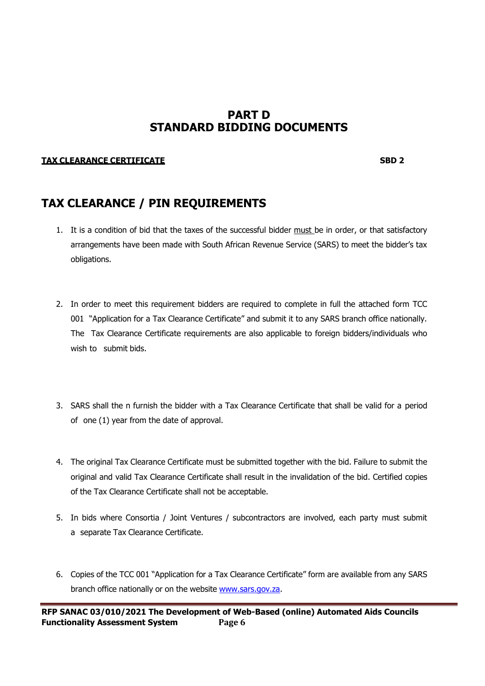# **PART D STANDARD BIDDING DOCUMENTS**

#### **TAX CLEARANCE CERTIFICATE SBD 2**

# **TAX CLEARANCE / PIN REQUIREMENTS**

- 1. It is a condition of bid that the taxes of the successful bidder must be in order, or that satisfactory arrangements have been made with South African Revenue Service (SARS) to meet the bidder's tax obligations.
- 2. In order to meet this requirement bidders are required to complete in full the attached form TCC 001 "Application for a Tax Clearance Certificate" and submit it to any SARS branch office nationally. The Tax Clearance Certificate requirements are also applicable to foreign bidders/individuals who wish to submit bids.
- 3. SARS shall the n furnish the bidder with a Tax Clearance Certificate that shall be valid for a period of one (1) year from the date of approval.
- 4. The original Tax Clearance Certificate must be submitted together with the bid. Failure to submit the original and valid Tax Clearance Certificate shall result in the invalidation of the bid. Certified copies of the Tax Clearance Certificate shall not be acceptable.
- 5. In bids where Consortia / Joint Ventures / subcontractors are involved, each party must submit a separate Tax Clearance Certificate.
- 6. Copies of the TCC 001 "Application for a Tax Clearance Certificate" form are available from any SARS branch office nationally or on the website [www.sars.gov.za.](http://www.sars.gov.za/)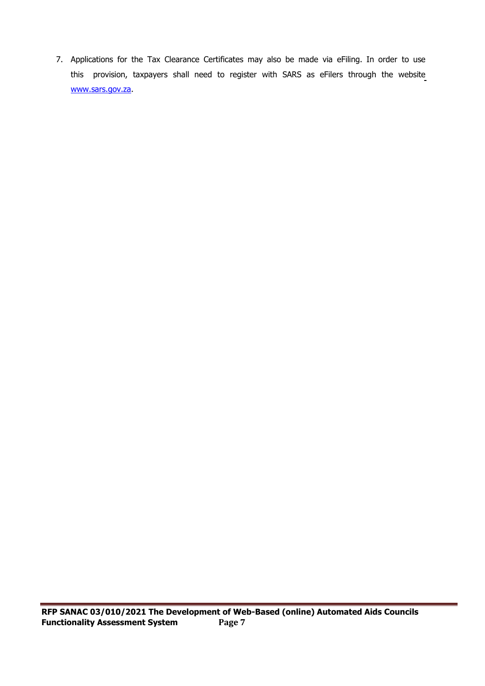7. Applications for the Tax Clearance Certificates may also be made via eFiling. In order to use this provision, taxpayers shall need to register with SARS as eFilers through the website [www.sars.gov.za.](http://www.sars.gov.za/)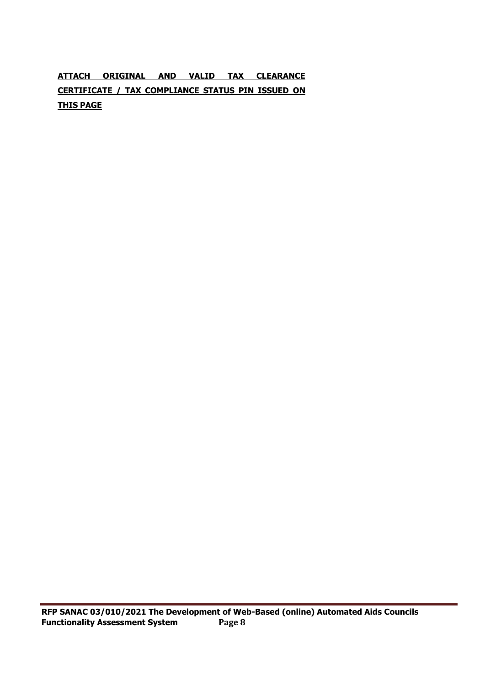**ATTACH ORIGINAL AND VALID TAX CLEARANCE CERTIFICATE / TAX COMPLIANCE STATUS PIN ISSUED ON THIS PAGE**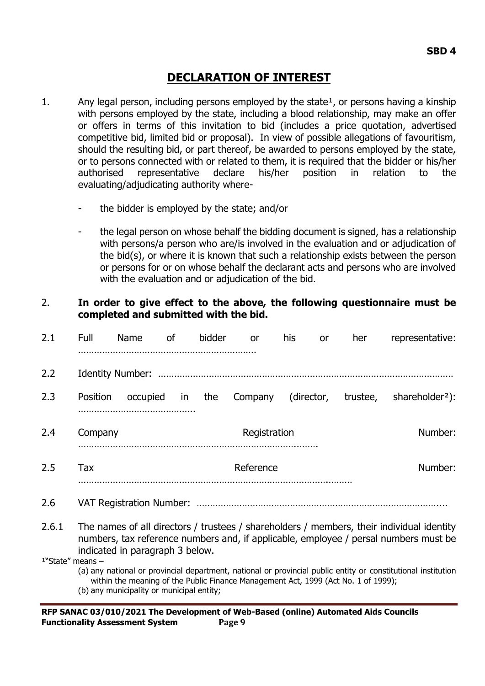# **DECLARATION OF INTEREST**

- 1. Any legal person, including persons employed by the state<sup>1</sup>, or persons having a kinship with persons employed by the state, including a blood relationship, may make an offer or offers in terms of this invitation to bid (includes a price quotation, advertised competitive bid, limited bid or proposal). In view of possible allegations of favouritism, should the resulting bid, or part thereof, be awarded to persons employed by the state, or to persons connected with or related to them, it is required that the bidder or his/her authorised representative declare his/her position in relation to the evaluating/adjudicating authority where-
	- the bidder is employed by the state; and/or
	- the legal person on whose behalf the bidding document is signed, has a relationship with persons/a person who are/is involved in the evaluation and or adjudication of the bid(s), or where it is known that such a relationship exists between the person or persons for or on whose behalf the declarant acts and persons who are involved with the evaluation and or adjudication of the bid.

## 2. **In order to give effect to the above, the following questionnaire must be completed and submitted with the bid.**

| 2.1                | Full                                                                                                                                                                                                                 | Name     | 0f | bidder | or                                                                                 | his     | or         | her      | representative:                                                                                               |
|--------------------|----------------------------------------------------------------------------------------------------------------------------------------------------------------------------------------------------------------------|----------|----|--------|------------------------------------------------------------------------------------|---------|------------|----------|---------------------------------------------------------------------------------------------------------------|
| 2.2                |                                                                                                                                                                                                                      |          |    |        |                                                                                    |         |            |          |                                                                                                               |
| 2.3                | Position                                                                                                                                                                                                             | occupied | in | the    | Company                                                                            |         | (director, | trustee, | shareholder <sup>2</sup> ):                                                                                   |
| 2.4                | Company<br>Registration                                                                                                                                                                                              |          |    |        |                                                                                    | Number: |            |          |                                                                                                               |
| 2.5                | Tax                                                                                                                                                                                                                  |          |    |        | Reference                                                                          |         |            |          | Number:                                                                                                       |
| 2.6                |                                                                                                                                                                                                                      |          |    |        |                                                                                    |         |            |          |                                                                                                               |
| 2.6.1              | The names of all directors / trustees / shareholders / members, their individual identity<br>numbers, tax reference numbers and, if applicable, employee / persal numbers must be<br>indicated in paragraph 3 below. |          |    |        |                                                                                    |         |            |          |                                                                                                               |
| $1"State"$ means - |                                                                                                                                                                                                                      |          |    |        | within the meaning of the Public Finance Management Act, 1999 (Act No. 1 of 1999); |         |            |          | (a) any national or provincial department, national or provincial public entity or constitutional institution |

(b) any municipality or municipal entity;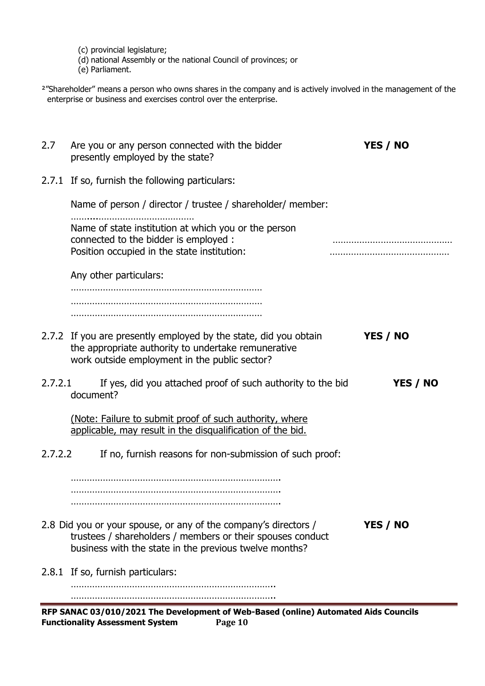- (c) provincial legislature;
- (d) national Assembly or the national Council of provinces; or
- (e) Parliament.
- <sup>2</sup>"Shareholder" means a person who owns shares in the company and is actively involved in the management of the enterprise or business and exercises control over the enterprise.

| 2.7     | Are you or any person connected with the bidder<br>presently employed by the state?                                                                                                     | YES / NO |
|---------|-----------------------------------------------------------------------------------------------------------------------------------------------------------------------------------------|----------|
|         | 2.7.1 If so, furnish the following particulars:                                                                                                                                         |          |
|         | Name of person / director / trustee / shareholder/ member:                                                                                                                              |          |
|         | Name of state institution at which you or the person<br>connected to the bidder is employed :<br>Position occupied in the state institution:                                            |          |
|         | Any other particulars:                                                                                                                                                                  |          |
|         |                                                                                                                                                                                         |          |
|         |                                                                                                                                                                                         |          |
|         | 2.7.2 If you are presently employed by the state, did you obtain<br>the appropriate authority to undertake remunerative<br>work outside employment in the public sector?                | YES / NO |
| 2.7.2.1 | If yes, did you attached proof of such authority to the bid<br>document?                                                                                                                | YES / NO |
|         | (Note: Failure to submit proof of such authority, where<br>applicable, may result in the disqualification of the bid.                                                                   |          |
| 2.7.2.2 | If no, furnish reasons for non-submission of such proof:                                                                                                                                |          |
|         |                                                                                                                                                                                         |          |
|         |                                                                                                                                                                                         |          |
|         | 2.8 Did you or your spouse, or any of the company's directors /<br>trustees / shareholders / members or their spouses conduct<br>business with the state in the previous twelve months? | YES / NO |
|         | 2.8.1 If so, furnish particulars:                                                                                                                                                       |          |
|         |                                                                                                                                                                                         |          |
|         | RFP SANAC 03/010/2021 The Development of Web-Based (online) Automated Aids Councils<br><b>Functionality Assessment System</b><br>Page 10                                                |          |

J,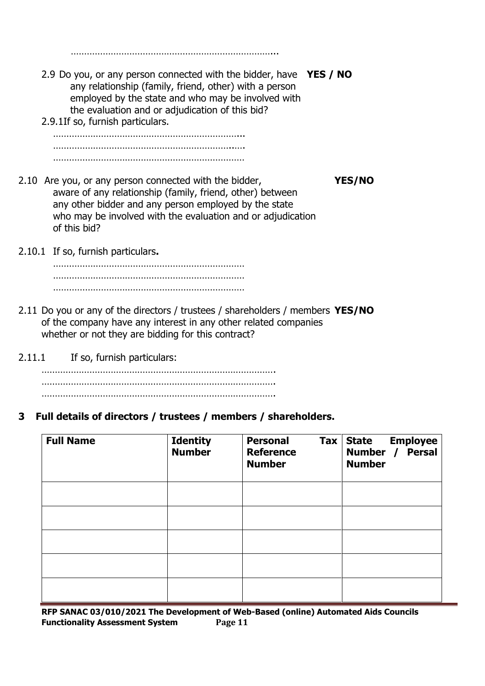2.9 Do you, or any person connected with the bidder, have **YES / NO** any relationship (family, friend, other) with a person employed by the state and who may be involved with the evaluation and or adjudication of this bid?

…………………………………………………………………...

2.9.1If so, furnish particulars.

……………………………………………………………... …………………………………………………………..…. ………………………………………………………………

- 2.10 Are you, or any person connected with the bidder, **YES/NO** aware of any relationship (family, friend, other) between any other bidder and any person employed by the state who may be involved with the evaluation and or adjudication of this bid?
- 2.10.1 If so, furnish particulars**.**

……………………………………………………………… ……………………………………………………………… ………………………………………………………………

- 2.11 Do you or any of the directors / trustees / shareholders / members **YES/NO** of the company have any interest in any other related companies whether or not they are bidding for this contract?
- 2.11.1 If so, furnish particulars:

……………………………………………………………………………. ……………………………………………………………………………. …………………………………………………………………………….

# **3 Full details of directors / trustees / members / shareholders.**

| <b>Full Name</b> | <b>Identity</b><br><b>Number</b> | <b>Personal</b><br><b>Reference</b><br><b>Number</b> | State Employee<br>Number / Persal<br>$\mathsf{T}$ ax   State<br><b>Number</b> |
|------------------|----------------------------------|------------------------------------------------------|-------------------------------------------------------------------------------|
|                  |                                  |                                                      |                                                                               |
|                  |                                  |                                                      |                                                                               |
|                  |                                  |                                                      |                                                                               |
|                  |                                  |                                                      |                                                                               |
|                  |                                  |                                                      |                                                                               |

**RFP SANAC 03/010/2021 The Development of Web-Based (online) Automated Aids Councils Functionality Assessment System Page 11**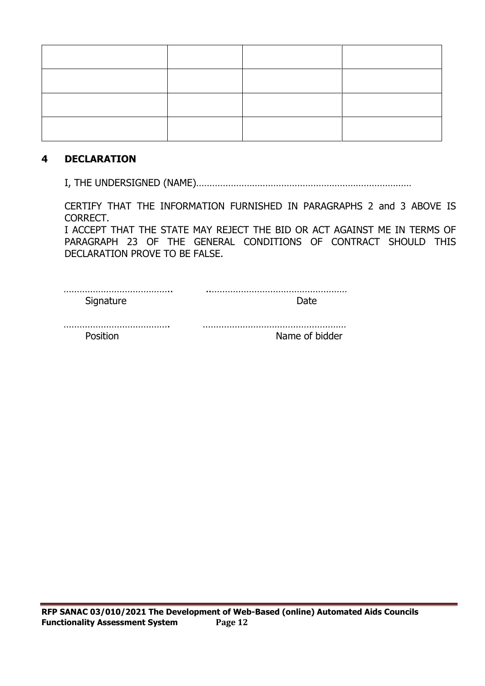# **4 DECLARATION**

I, THE UNDERSIGNED (NAME)………………………………………………………………………

CERTIFY THAT THE INFORMATION FURNISHED IN PARAGRAPHS 2 and 3 ABOVE IS CORRECT.

I ACCEPT THAT THE STATE MAY REJECT THE BID OR ACT AGAINST ME IN TERMS OF PARAGRAPH 23 OF THE GENERAL CONDITIONS OF CONTRACT SHOULD THIS DECLARATION PROVE TO BE FALSE.

Signature Date Date

Position **Name of bidder**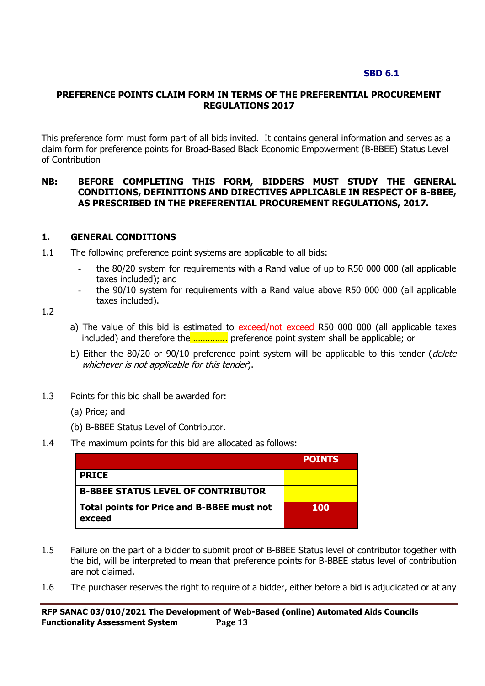## **SBD 6.1**

### **PREFERENCE POINTS CLAIM FORM IN TERMS OF THE PREFERENTIAL PROCUREMENT REGULATIONS 2017**

This preference form must form part of all bids invited. It contains general information and serves as a claim form for preference points for Broad-Based Black Economic Empowerment (B-BBEE) Status Level of Contribution

#### **NB: BEFORE COMPLETING THIS FORM, BIDDERS MUST STUDY THE GENERAL CONDITIONS, DEFINITIONS AND DIRECTIVES APPLICABLE IN RESPECT OF B-BBEE, AS PRESCRIBED IN THE PREFERENTIAL PROCUREMENT REGULATIONS, 2017.**

#### **1. GENERAL CONDITIONS**

- 1.1 The following preference point systems are applicable to all bids:
	- the 80/20 system for requirements with a Rand value of up to R50 000 000 (all applicable taxes included); and
	- the 90/10 system for requirements with a Rand value above R50 000 000 (all applicable taxes included).

### 1.2

- a) The value of this bid is estimated to exceed/not exceed R50 000 000 (all applicable taxes included) and therefore the …………... preference point system shall be applicable; or
- b) Either the 80/20 or 90/10 preference point system will be applicable to this tender (*delete* whichever is not applicable for this tender).
- 1.3 Points for this bid shall be awarded for:
	- (a) Price; and
	- (b) B-BBEE Status Level of Contributor.
- 1.4 The maximum points for this bid are allocated as follows:

|                                                             | <b>POINTS</b> |
|-------------------------------------------------------------|---------------|
| <b>PRICE</b>                                                |               |
| <b>B-BBEE STATUS LEVEL OF CONTRIBUTOR</b>                   |               |
| <b>Total points for Price and B-BBEE must not</b><br>exceed | <b>100</b>    |

- 1.5 Failure on the part of a bidder to submit proof of B-BBEE Status level of contributor together with the bid, will be interpreted to mean that preference points for B-BBEE status level of contribution are not claimed.
- 1.6 The purchaser reserves the right to require of a bidder, either before a bid is adjudicated or at any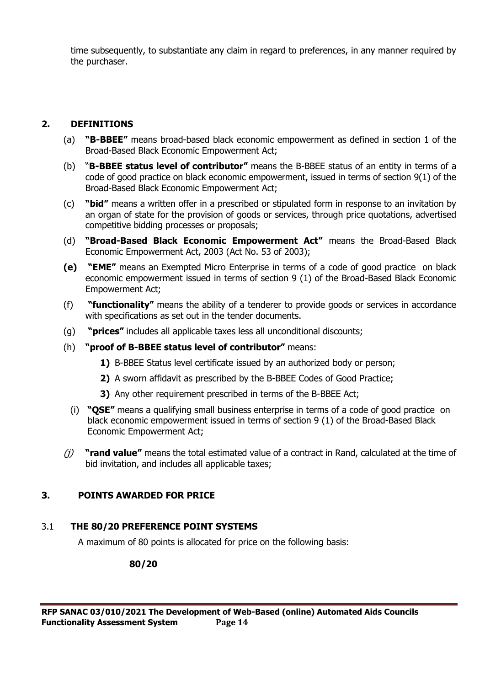time subsequently, to substantiate any claim in regard to preferences, in any manner required by the purchaser.

# **2. DEFINITIONS**

- (a) **"B-BBEE"** means broad-based black economic empowerment as defined in section 1 of the Broad-Based Black Economic Empowerment Act;
- (b) "**B-BBEE status level of contributor"** means the B-BBEE status of an entity in terms of a code of good practice on black economic empowerment, issued in terms of section 9(1) of the Broad-Based Black Economic Empowerment Act;
- (c) **"bid"** means a written offer in a prescribed or stipulated form in response to an invitation by an organ of state for the provision of goods or services, through price quotations, advertised competitive bidding processes or proposals;
- (d) **"Broad-Based Black Economic Empowerment Act"** means the Broad-Based Black Economic Empowerment Act, 2003 (Act No. 53 of 2003);
- **(e) "EME"** means an Exempted Micro Enterprise in terms of a code of good practice on black economic empowerment issued in terms of section 9 (1) of the Broad-Based Black Economic Empowerment Act;
- (f) **"functionality"** means the ability of a tenderer to provide goods or services in accordance with specifications as set out in the tender documents.
- (g) **"prices"** includes all applicable taxes less all unconditional discounts;
- (h) **"proof of B-BBEE status level of contributor"** means:
	- **1)** B-BBEE Status level certificate issued by an authorized body or person;
	- **2)** A sworn affidavit as prescribed by the B-BBEE Codes of Good Practice;
	- **3)** Any other requirement prescribed in terms of the B-BBEE Act;
	- (i) **"QSE"** means a qualifying small business enterprise in terms of a code of good practice on black economic empowerment issued in terms of section 9 (1) of the Broad-Based Black Economic Empowerment Act;
- (j) **"rand value"** means the total estimated value of a contract in Rand, calculated at the time of bid invitation, and includes all applicable taxes;

## **3. POINTS AWARDED FOR PRICE**

# 3.1 **THE 80/20 PREFERENCE POINT SYSTEMS**

A maximum of 80 points is allocated for price on the following basis:

## **80/20**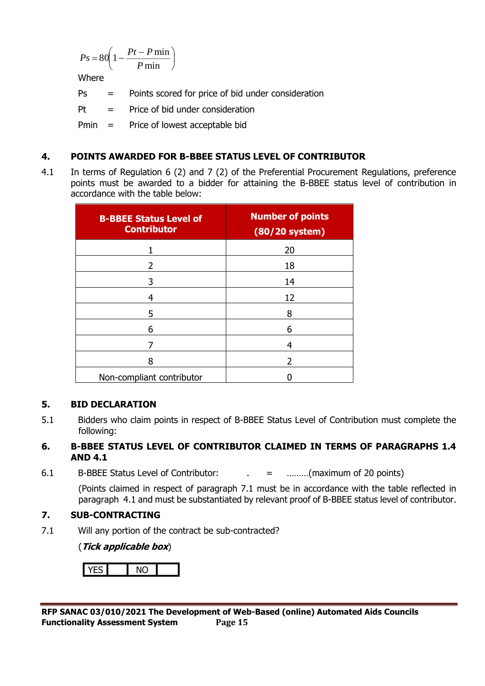$$
Ps = 80 \left( 1 - \frac{Pt - P \min}{P \min} \right)
$$

Where

Ps = Points scored for price of bid under consideration

 $Pt =$  Price of bid under consideration

Pmin = Price of lowest acceptable bid

## **4. POINTS AWARDED FOR B-BBEE STATUS LEVEL OF CONTRIBUTOR**

4.1 In terms of Regulation 6 (2) and 7 (2) of the Preferential Procurement Regulations, preference points must be awarded to a bidder for attaining the B-BBEE status level of contribution in accordance with the table below:

| <b>B-BBEE Status Level of</b><br><b>Contributor</b> | <b>Number of points</b><br>(80/20 system) |
|-----------------------------------------------------|-------------------------------------------|
|                                                     | 20                                        |
| $\mathcal{L}$                                       | 18                                        |
| 3                                                   | 14                                        |
| 4                                                   | 12                                        |
| 5                                                   | 8                                         |
| 6                                                   | 6                                         |
|                                                     | 4                                         |
| 8                                                   |                                           |
| Non-compliant contributor                           |                                           |

## **5. BID DECLARATION**

5.1 Bidders who claim points in respect of B-BBEE Status Level of Contribution must complete the following:

## **6. B-BBEE STATUS LEVEL OF CONTRIBUTOR CLAIMED IN TERMS OF PARAGRAPHS 1.4 AND 4.1**

6.1 B-BBEE Status Level of Contributor: . = ………(maximum of 20 points)

(Points claimed in respect of paragraph 7.1 must be in accordance with the table reflected in paragraph 4.1 and must be substantiated by relevant proof of B-BBEE status level of contributor.

## **7. SUB-CONTRACTING**

7.1 Will any portion of the contract be sub-contracted?

(**Tick applicable box**)

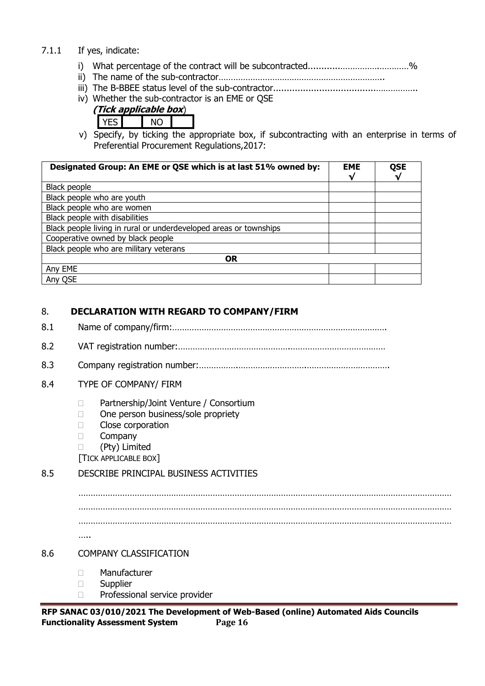#### 7.1.1 If yes, indicate:

- i) What percentage of the contract will be subcontracted............…………….…………%
- ii) The name of the sub-contractor…………………………………………………………..
- iii) The B-BBEE status level of the sub-contractor......................................……………..
- iv) Whether the sub-contractor is an EME or QSE



v) Specify, by ticking the appropriate box, if subcontracting with an enterprise in terms of Preferential Procurement Regulations,2017:

| Designated Group: An EME or QSE which is at last 51% owned by:    | <b>EME</b> | <b>QSE</b> |
|-------------------------------------------------------------------|------------|------------|
| Black people                                                      |            |            |
| Black people who are youth                                        |            |            |
| Black people who are women                                        |            |            |
| Black people with disabilities                                    |            |            |
| Black people living in rural or underdeveloped areas or townships |            |            |
| Cooperative owned by black people                                 |            |            |
| Black people who are military veterans                            |            |            |
| <b>OR</b>                                                         |            |            |
| Any EME                                                           |            |            |
| Any QSE                                                           |            |            |

# 8. **DECLARATION WITH REGARD TO COMPANY/FIRM**

- 8.1 Name of company/firm:…………………………………………………………………………….
- 8.2 VAT registration number:……………………………………….…………………………………
- 8.3 Company registration number:…………….……………………….…………………………….

## 8.4 TYPE OF COMPANY/ FIRM

- □ Partnership/Joint Venture / Consortium
- □ One person business/sole propriety
- **Close corporation**
- **Company**
- (Pty) Limited
- [TICK APPLICABLE BOX]

# 8.5 DESCRIBE PRINCIPAL BUSINESS ACTIVITIES

……………………………………………………………………………………………………………………………………… ……………………………………………………………………………………………………………………………………… ………………………………………………………………………………………………………………………………………

…..

## 8.6 COMPANY CLASSIFICATION

- Manufacturer
- **Supplier**
- D Professional service provider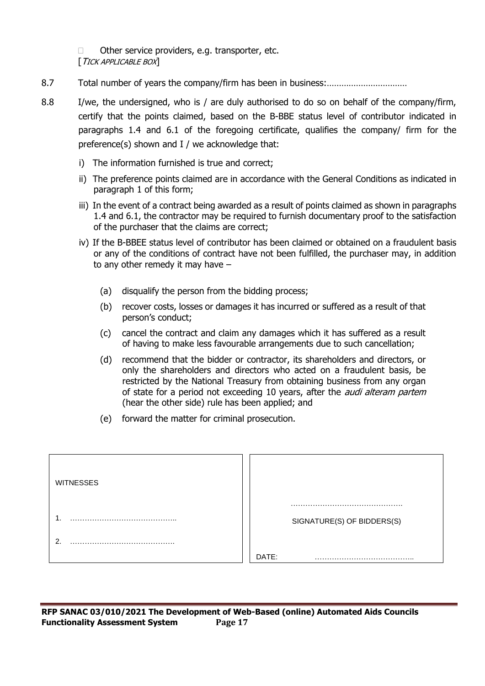$\Box$  Other service providers, e.g. transporter, etc. [TICK APPLICABLE BOX]

- 8.7 Total number of years the company/firm has been in business:……………………………
- 8.8 I/we, the undersigned, who is / are duly authorised to do so on behalf of the company/firm, certify that the points claimed, based on the B-BBE status level of contributor indicated in paragraphs 1.4 and 6.1 of the foregoing certificate, qualifies the company/ firm for the preference(s) shown and I / we acknowledge that:
	- i) The information furnished is true and correct;
	- ii) The preference points claimed are in accordance with the General Conditions as indicated in paragraph 1 of this form;
	- iii) In the event of a contract being awarded as a result of points claimed as shown in paragraphs 1.4 and 6.1, the contractor may be required to furnish documentary proof to the satisfaction of the purchaser that the claims are correct;
	- iv) If the B-BBEE status level of contributor has been claimed or obtained on a fraudulent basis or any of the conditions of contract have not been fulfilled, the purchaser may, in addition to any other remedy it may have –
		- (a) disqualify the person from the bidding process;
		- (b) recover costs, losses or damages it has incurred or suffered as a result of that person's conduct;
		- (c) cancel the contract and claim any damages which it has suffered as a result of having to make less favourable arrangements due to such cancellation;
		- (d) recommend that the bidder or contractor, its shareholders and directors, or only the shareholders and directors who acted on a fraudulent basis, be restricted by the National Treasury from obtaining business from any organ of state for a period not exceeding 10 years, after the *audi alteram partem* (hear the other side) rule has been applied; and
		- (e) forward the matter for criminal prosecution.

| <b>WITNESSES</b> |                            |
|------------------|----------------------------|
|                  | SIGNATURE(S) OF BIDDERS(S) |
| ◠                |                            |
|                  | DATE:<br>.<br>.            |

…………………………………..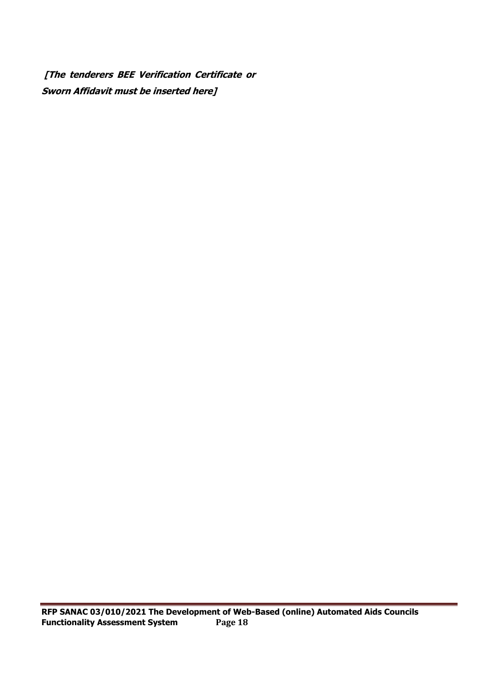**[The tenderers BEE Verification Certificate or Sworn Affidavit must be inserted here]**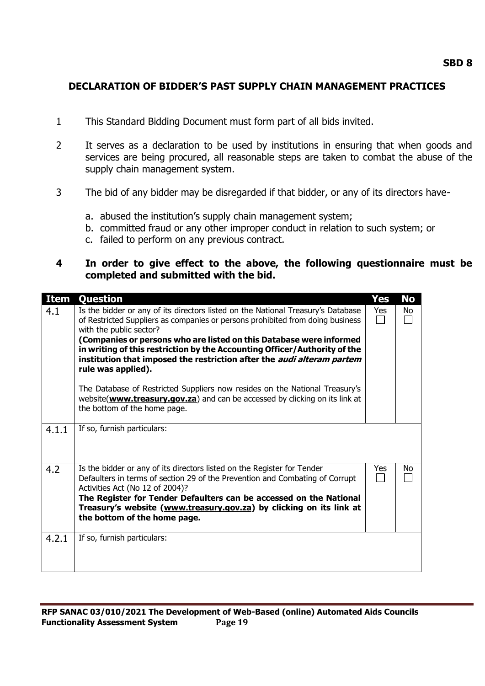## **DECLARATION OF BIDDER'S PAST SUPPLY CHAIN MANAGEMENT PRACTICES**

- 1 This Standard Bidding Document must form part of all bids invited.
- 2 It serves as a declaration to be used by institutions in ensuring that when goods and services are being procured, all reasonable steps are taken to combat the abuse of the supply chain management system.
- 3 The bid of any bidder may be disregarded if that bidder, or any of its directors have
	- a. abused the institution's supply chain management system;
	- b. committed fraud or any other improper conduct in relation to such system; or
	- c. failed to perform on any previous contract.

# **4 In order to give effect to the above, the following questionnaire must be completed and submitted with the bid.**

| <b>Item</b> | Question                                                                                                                                                                                                                                                                                                                                                                                                                                                                                                                                                                                                                                               | <b>Yes</b> | <b>No</b> |
|-------------|--------------------------------------------------------------------------------------------------------------------------------------------------------------------------------------------------------------------------------------------------------------------------------------------------------------------------------------------------------------------------------------------------------------------------------------------------------------------------------------------------------------------------------------------------------------------------------------------------------------------------------------------------------|------------|-----------|
| 4.1         | Is the bidder or any of its directors listed on the National Treasury's Database<br>of Restricted Suppliers as companies or persons prohibited from doing business<br>with the public sector?<br>(Companies or persons who are listed on this Database were informed<br>in writing of this restriction by the Accounting Officer/Authority of the<br>institution that imposed the restriction after the <i>audi alteram partem</i><br>rule was applied).<br>The Database of Restricted Suppliers now resides on the National Treasury's<br>website(www.treasury.gov.za) and can be accessed by clicking on its link at<br>the bottom of the home page. | Yes        | No        |
| 4.1.1       | If so, furnish particulars:                                                                                                                                                                                                                                                                                                                                                                                                                                                                                                                                                                                                                            |            |           |
| 4.2         | Is the bidder or any of its directors listed on the Register for Tender<br>Defaulters in terms of section 29 of the Prevention and Combating of Corrupt<br>Activities Act (No 12 of 2004)?<br>The Register for Tender Defaulters can be accessed on the National<br>Treasury's website (www.treasury.gov.za) by clicking on its link at<br>the bottom of the home page.                                                                                                                                                                                                                                                                                | Yes        | No        |
| 4.2.1       | If so, furnish particulars:                                                                                                                                                                                                                                                                                                                                                                                                                                                                                                                                                                                                                            |            |           |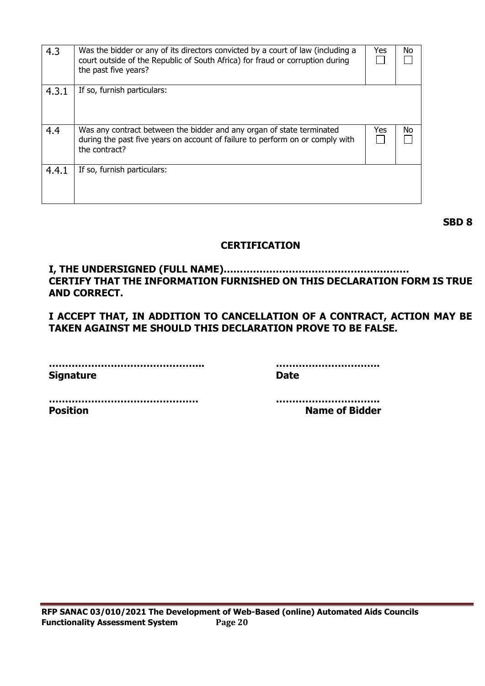| 4.3   | Was the bidder or any of its directors convicted by a court of law (including a<br>court outside of the Republic of South Africa) for fraud or corruption during<br>the past five years? | <b>Yes</b> | No. |
|-------|------------------------------------------------------------------------------------------------------------------------------------------------------------------------------------------|------------|-----|
| 4.3.1 | If so, furnish particulars:                                                                                                                                                              |            |     |
| 4.4   | Was any contract between the bidder and any organ of state terminated<br>during the past five years on account of failure to perform on or comply with<br>the contract?                  | Yes        | Νo  |
| 4.4.1 | If so, furnish particulars:                                                                                                                                                              |            |     |

**SBD 8**

## **CERTIFICATION**

# **I, THE UNDERSIGNED (FULL NAME)………………………………………………… CERTIFY THAT THE INFORMATION FURNISHED ON THIS DECLARATION FORM IS TRUE AND CORRECT.**

**I ACCEPT THAT, IN ADDITION TO CANCELLATION OF A CONTRACT, ACTION MAY BE TAKEN AGAINST ME SHOULD THIS DECLARATION PROVE TO BE FALSE.**

**………………………………………... …………………………..**

**Signature Date** 

**………………………………………. ………………………….. Position Name of Bidder**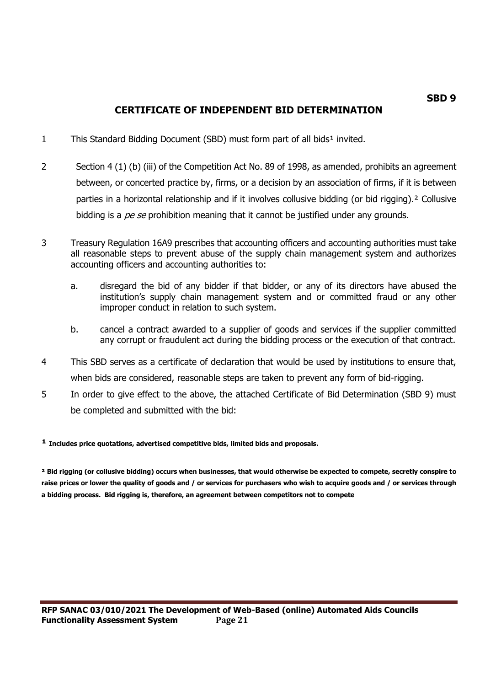# **CERTIFICATE OF INDEPENDENT BID DETERMINATION**

- 1 This Standard Bidding Document (SBD) must form part of all bids<sup>1</sup> invited.
- 2 Section 4 (1) (b) (iii) of the Competition Act No. 89 of 1998, as amended, prohibits an agreement between, or concerted practice by, firms, or a decision by an association of firms, if it is between parties in a horizontal relationship and if it involves collusive bidding (or bid rigging).² Collusive bidding is a *pe se* prohibition meaning that it cannot be justified under any grounds.
- 3 Treasury Regulation 16A9 prescribes that accounting officers and accounting authorities must take all reasonable steps to prevent abuse of the supply chain management system and authorizes accounting officers and accounting authorities to:
	- a. disregard the bid of any bidder if that bidder, or any of its directors have abused the institution's supply chain management system and or committed fraud or any other improper conduct in relation to such system.
	- b. cancel a contract awarded to a supplier of goods and services if the supplier committed any corrupt or fraudulent act during the bidding process or the execution of that contract.
- 4 This SBD serves as a certificate of declaration that would be used by institutions to ensure that, when bids are considered, reasonable steps are taken to prevent any form of bid-rigging.
- 5 In order to give effect to the above, the attached Certificate of Bid Determination (SBD 9) must be completed and submitted with the bid:

**¹ Includes price quotations, advertised competitive bids, limited bids and proposals.**

**² Bid rigging (or collusive bidding) occurs when businesses, that would otherwise be expected to compete, secretly conspire to raise prices or lower the quality of goods and / or services for purchasers who wish to acquire goods and / or services through a bidding process. Bid rigging is, therefore, an agreement between competitors not to compete**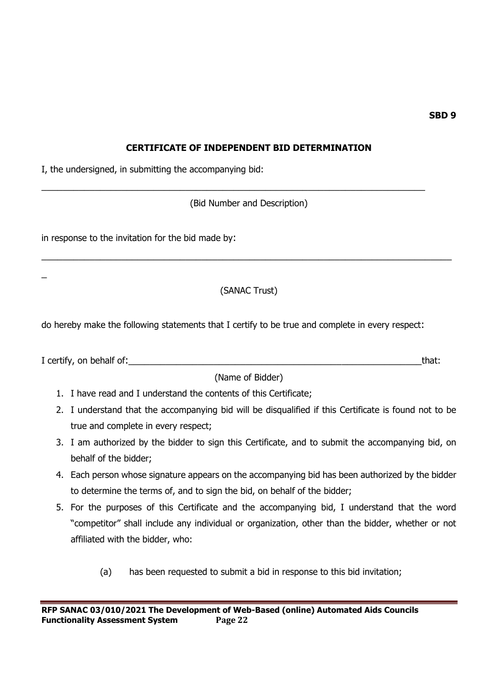### **CERTIFICATE OF INDEPENDENT BID DETERMINATION**

I, the undersigned, in submitting the accompanying bid:

(Bid Number and Description)

\_\_\_\_\_\_\_\_\_\_\_\_\_\_\_\_\_\_\_\_\_\_\_\_\_\_\_\_\_\_\_\_\_\_\_\_\_\_\_\_\_\_\_\_\_\_\_\_\_\_\_\_\_\_\_\_\_\_\_\_\_\_\_\_\_\_\_\_\_\_\_\_

in response to the invitation for the bid made by:

 $\overline{a}$ 

(SANAC Trust)

\_\_\_\_\_\_\_\_\_\_\_\_\_\_\_\_\_\_\_\_\_\_\_\_\_\_\_\_\_\_\_\_\_\_\_\_\_\_\_\_\_\_\_\_\_\_\_\_\_\_\_\_\_\_\_\_\_\_\_\_\_\_\_\_\_\_\_\_\_\_\_\_\_\_\_\_\_

do hereby make the following statements that I certify to be true and complete in every respect:

I certify, on behalf of:\_\_\_\_\_\_\_\_\_\_\_\_\_\_\_\_\_\_\_\_\_\_\_\_\_\_\_\_\_\_\_\_\_\_\_\_\_\_\_\_\_\_\_\_\_\_\_\_\_\_\_\_\_\_\_that:

(Name of Bidder)

- 1. I have read and I understand the contents of this Certificate;
- 2. I understand that the accompanying bid will be disqualified if this Certificate is found not to be true and complete in every respect;
- 3. I am authorized by the bidder to sign this Certificate, and to submit the accompanying bid, on behalf of the bidder;
- 4. Each person whose signature appears on the accompanying bid has been authorized by the bidder to determine the terms of, and to sign the bid, on behalf of the bidder;
- 5. For the purposes of this Certificate and the accompanying bid, I understand that the word "competitor" shall include any individual or organization, other than the bidder, whether or not affiliated with the bidder, who:
	- (a) has been requested to submit a bid in response to this bid invitation;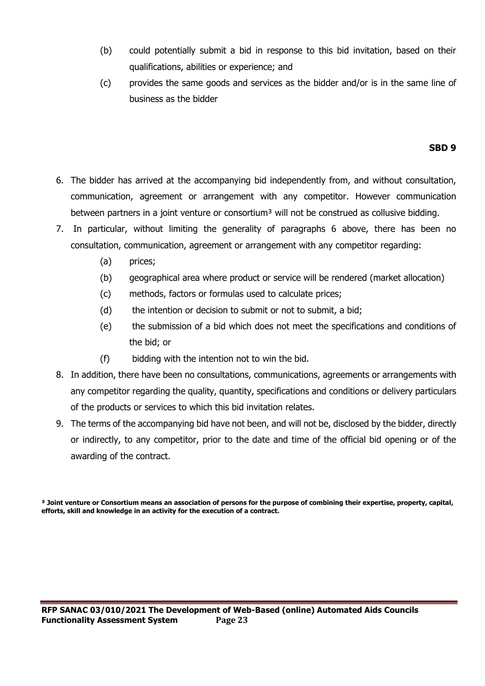- (b) could potentially submit a bid in response to this bid invitation, based on their qualifications, abilities or experience; and
- (c) provides the same goods and services as the bidder and/or is in the same line of business as the bidder

## **SBD 9**

- 6. The bidder has arrived at the accompanying bid independently from, and without consultation, communication, agreement or arrangement with any competitor. However communication between partners in a joint venture or consortium<sup>3</sup> will not be construed as collusive bidding.
- 7. In particular, without limiting the generality of paragraphs 6 above, there has been no consultation, communication, agreement or arrangement with any competitor regarding:
	- (a) prices;
	- (b) geographical area where product or service will be rendered (market allocation)
	- (c) methods, factors or formulas used to calculate prices;
	- (d) the intention or decision to submit or not to submit, a bid;
	- (e) the submission of a bid which does not meet the specifications and conditions of the bid; or
	- (f) bidding with the intention not to win the bid.
- 8. In addition, there have been no consultations, communications, agreements or arrangements with any competitor regarding the quality, quantity, specifications and conditions or delivery particulars of the products or services to which this bid invitation relates.
- 9. The terms of the accompanying bid have not been, and will not be, disclosed by the bidder, directly or indirectly, to any competitor, prior to the date and time of the official bid opening or of the awarding of the contract.

**³ Joint venture or Consortium means an association of persons for the purpose of combining their expertise, property, capital, efforts, skill and knowledge in an activity for the execution of a contract.**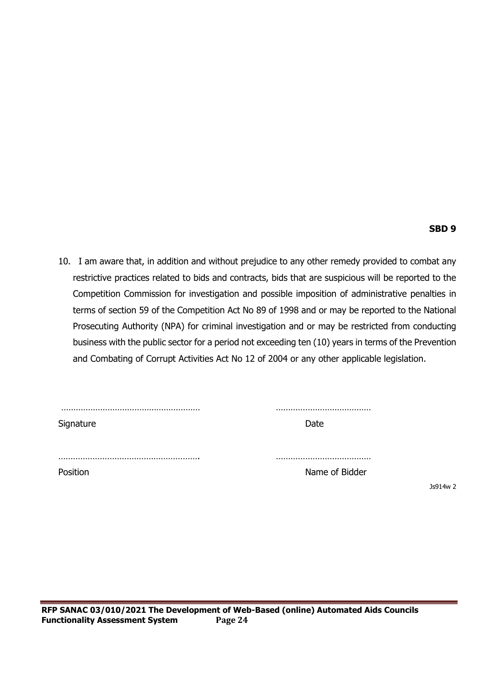10. I am aware that, in addition and without prejudice to any other remedy provided to combat any restrictive practices related to bids and contracts, bids that are suspicious will be reported to the Competition Commission for investigation and possible imposition of administrative penalties in terms of section 59 of the Competition Act No 89 of 1998 and or may be reported to the National Prosecuting Authority (NPA) for criminal investigation and or may be restricted from conducting business with the public sector for a period not exceeding ten (10) years in terms of the Prevention and Combating of Corrupt Activities Act No 12 of 2004 or any other applicable legislation.

………………………………………………… …………………………………

Signature Date Date Date Date Date

…………………………………………………. …………………………………

Position **Name of Bidder Name of Bidder** 

Js914w 2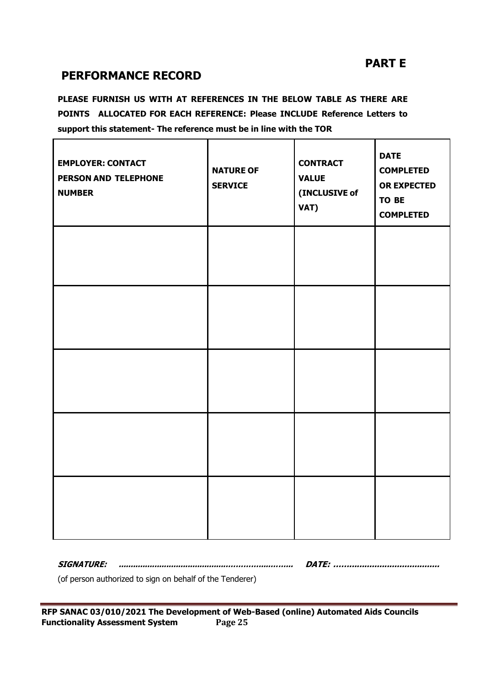# **PART E**

# **PERFORMANCE RECORD**

**PLEASE FURNISH US WITH AT REFERENCES IN THE BELOW TABLE AS THERE ARE POINTS ALLOCATED FOR EACH REFERENCE: Please INCLUDE Reference Letters to support this statement- The reference must be in line with the TOR**

| <b>EMPLOYER: CONTACT</b><br><b>PERSON AND TELEPHONE</b><br><b>NUMBER</b> | <b>NATURE OF</b><br><b>SERVICE</b> | <b>CONTRACT</b><br><b>VALUE</b><br>(INCLUSIVE of<br>VAT) | <b>DATE</b><br><b>COMPLETED</b><br><b>OR EXPECTED</b><br>TO BE<br><b>COMPLETED</b> |
|--------------------------------------------------------------------------|------------------------------------|----------------------------------------------------------|------------------------------------------------------------------------------------|
|                                                                          |                                    |                                                          |                                                                                    |
|                                                                          |                                    |                                                          |                                                                                    |
|                                                                          |                                    |                                                          |                                                                                    |
|                                                                          |                                    |                                                          |                                                                                    |
|                                                                          |                                    |                                                          |                                                                                    |

**SIGNATURE: ..............................................………….....……... DATE: ……....................................**

(of person authorized to sign on behalf of the Tenderer)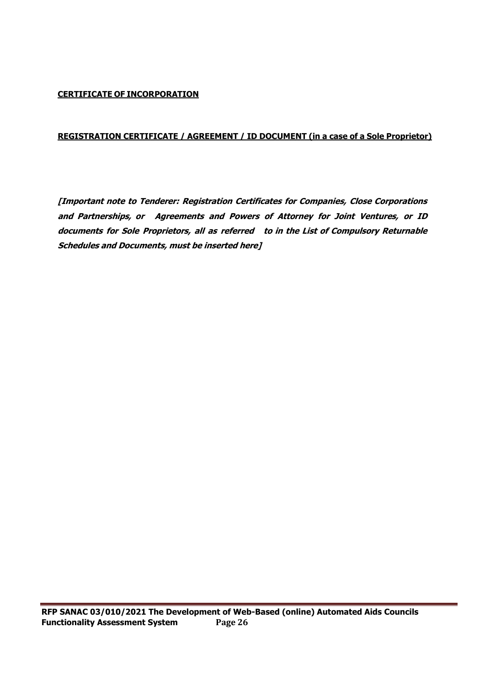#### **CERTIFICATE OF INCORPORATION**

#### **REGISTRATION CERTIFICATE / AGREEMENT / ID DOCUMENT (in a case of a Sole Proprietor)**

**[Important note to Tenderer: Registration Certificates for Companies, Close Corporations and Partnerships, or Agreements and Powers of Attorney for Joint Ventures, or ID documents for Sole Proprietors, all as referred to in the List of Compulsory Returnable Schedules and Documents, must be inserted here]**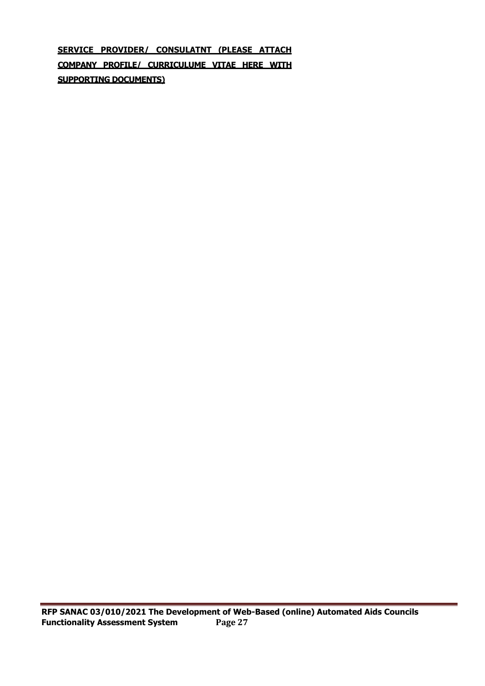**SERVICE PROVIDER/ CONSULATNT (PLEASE ATTACH COMPANY PROFILE/ CURRICULUME VITAE HERE WITH SUPPORTING DOCUMENTS)**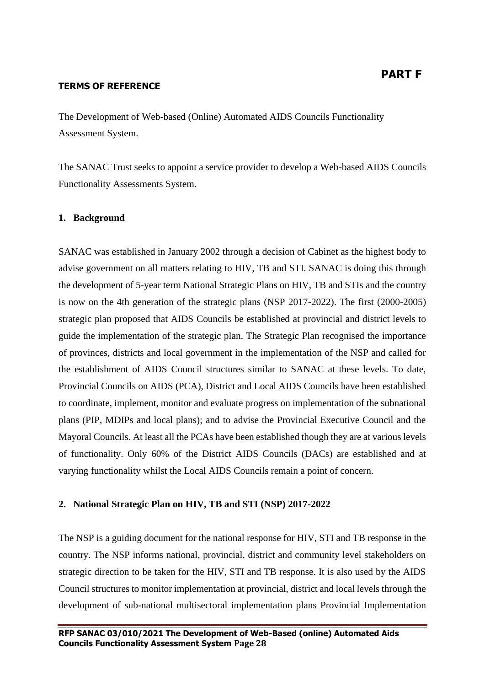#### **TERMS OF REFERENCE**

The Development of Web-based (Online) Automated AIDS Councils Functionality Assessment System.

The SANAC Trust seeks to appoint a service provider to develop a Web-based AIDS Councils Functionality Assessments System.

#### **1. Background**

SANAC was established in January 2002 through a decision of Cabinet as the highest body to advise government on all matters relating to HIV, TB and STI. SANAC is doing this through the development of 5-year term National Strategic Plans on HIV, TB and STIs and the country is now on the 4th generation of the strategic plans (NSP 2017-2022). The first (2000-2005) strategic plan proposed that AIDS Councils be established at provincial and district levels to guide the implementation of the strategic plan. The Strategic Plan recognised the importance of provinces, districts and local government in the implementation of the NSP and called for the establishment of AIDS Council structures similar to SANAC at these levels. To date, Provincial Councils on AIDS (PCA), District and Local AIDS Councils have been established to coordinate, implement, monitor and evaluate progress on implementation of the subnational plans (PIP, MDIPs and local plans); and to advise the Provincial Executive Council and the Mayoral Councils. At least all the PCAs have been established though they are at various levels of functionality. Only 60% of the District AIDS Councils (DACs) are established and at varying functionality whilst the Local AIDS Councils remain a point of concern.

## **2. National Strategic Plan on HIV, TB and STI (NSP) 2017-2022**

The NSP is a guiding document for the national response for HIV, STI and TB response in the country. The NSP informs national, provincial, district and community level stakeholders on strategic direction to be taken for the HIV, STI and TB response. It is also used by the AIDS Council structures to monitor implementation at provincial, district and local levels through the development of sub-national multisectoral implementation plans Provincial Implementation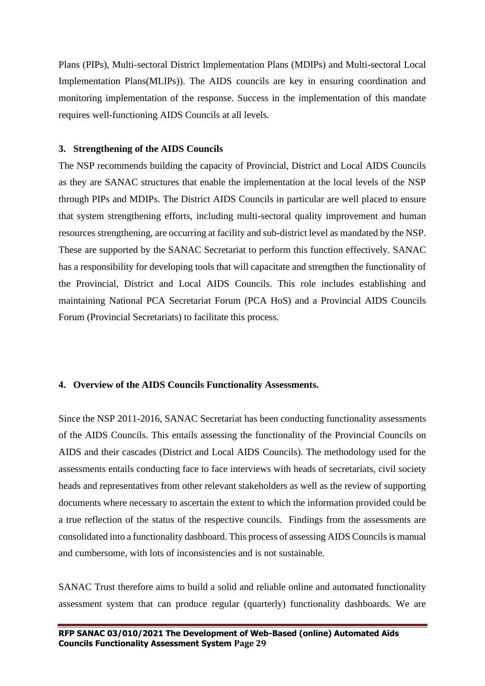Plans (PIPs), Multi-sectoral District Implementation Plans (MDIPs) and Multi-sectoral Local Implementation Plans(MLIPs)). The AIDS councils are key in ensuring coordination and monitoring implementation of the response. Success in the implementation of this mandate requires well-functioning AIDS Councils at all levels.

## **3. Strengthening of the AIDS Councils**

The NSP recommends building the capacity of Provincial, District and Local AIDS Councils as they are SANAC structures that enable the implementation at the local levels of the NSP through PIPs and MDIPs. The District AIDS Councils in particular are well placed to ensure that system strengthening efforts, including multi-sectoral quality improvement and human resources strengthening, are occurring at facility and sub-district level as mandated by the NSP. These are supported by the SANAC Secretariat to perform this function effectively. SANAC has a responsibility for developing tools that will capacitate and strengthen the functionality of the Provincial, District and Local AIDS Councils. This role includes establishing and maintaining National PCA Secretariat Forum (PCA HoS) and a Provincial AIDS Councils Forum (Provincial Secretariats) to facilitate this process.

# **4. Overview of the AIDS Councils Functionality Assessments.**

Since the NSP 2011-2016, SANAC Secretariat has been conducting functionality assessments of the AIDS Councils. This entails assessing the functionality of the Provincial Councils on AIDS and their cascades (District and Local AIDS Councils). The methodology used for the assessments entails conducting face to face interviews with heads of secretariats, civil society heads and representatives from other relevant stakeholders as well as the review of supporting documents where necessary to ascertain the extent to which the information provided could be a true reflection of the status of the respective councils. Findings from the assessments are consolidated into a functionality dashboard. This process of assessing AIDS Councils is manual and cumbersome, with lots of inconsistencies and is not sustainable.

SANAC Trust therefore aims to build a solid and reliable online and automated functionality assessment system that can produce regular (quarterly) functionality dashboards. We are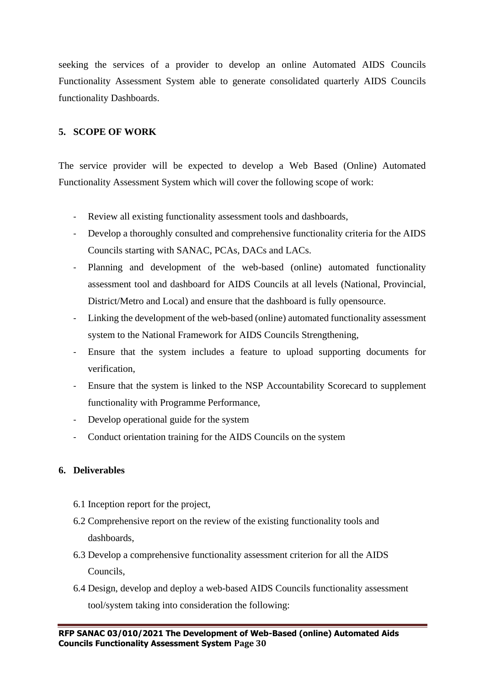seeking the services of a provider to develop an online Automated AIDS Councils Functionality Assessment System able to generate consolidated quarterly AIDS Councils functionality Dashboards.

## **5. SCOPE OF WORK**

The service provider will be expected to develop a Web Based (Online) Automated Functionality Assessment System which will cover the following scope of work:

- Review all existing functionality assessment tools and dashboards,
- Develop a thoroughly consulted and comprehensive functionality criteria for the AIDS Councils starting with SANAC, PCAs, DACs and LACs.
- Planning and development of the web-based (online) automated functionality assessment tool and dashboard for AIDS Councils at all levels (National, Provincial, District/Metro and Local) and ensure that the dashboard is fully opensource.
- Linking the development of the web-based (online) automated functionality assessment system to the National Framework for AIDS Councils Strengthening,
- Ensure that the system includes a feature to upload supporting documents for verification,
- Ensure that the system is linked to the NSP Accountability Scorecard to supplement functionality with Programme Performance,
- Develop operational guide for the system
- Conduct orientation training for the AIDS Councils on the system

# **6. Deliverables**

- 6.1 Inception report for the project,
- 6.2 Comprehensive report on the review of the existing functionality tools and dashboards,
- 6.3 Develop a comprehensive functionality assessment criterion for all the AIDS Councils,
- 6.4 Design, develop and deploy a web-based AIDS Councils functionality assessment tool/system taking into consideration the following: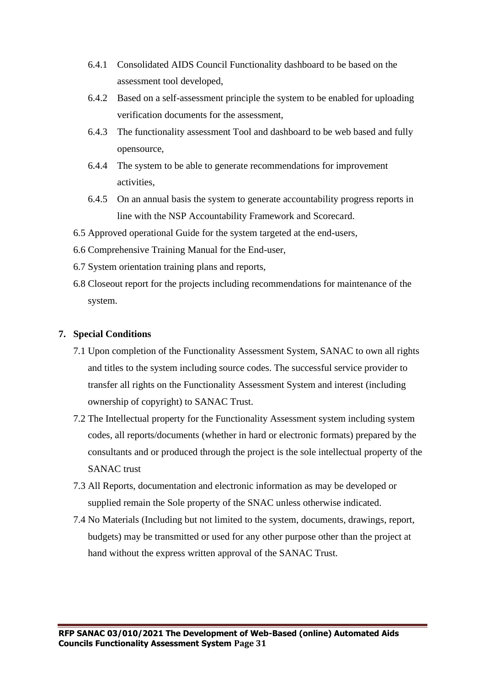- 6.4.1 Consolidated AIDS Council Functionality dashboard to be based on the assessment tool developed,
- 6.4.2 Based on a self-assessment principle the system to be enabled for uploading verification documents for the assessment,
- 6.4.3 The functionality assessment Tool and dashboard to be web based and fully opensource,
- 6.4.4 The system to be able to generate recommendations for improvement activities,
- 6.4.5 On an annual basis the system to generate accountability progress reports in line with the NSP Accountability Framework and Scorecard.
- 6.5 Approved operational Guide for the system targeted at the end-users,
- 6.6 Comprehensive Training Manual for the End-user,
- 6.7 System orientation training plans and reports,
- 6.8 Closeout report for the projects including recommendations for maintenance of the system.

## **7. Special Conditions**

- 7.1 Upon completion of the Functionality Assessment System, SANAC to own all rights and titles to the system including source codes. The successful service provider to transfer all rights on the Functionality Assessment System and interest (including ownership of copyright) to SANAC Trust.
- 7.2 The Intellectual property for the Functionality Assessment system including system codes, all reports/documents (whether in hard or electronic formats) prepared by the consultants and or produced through the project is the sole intellectual property of the SANAC trust
- 7.3 All Reports, documentation and electronic information as may be developed or supplied remain the Sole property of the SNAC unless otherwise indicated.
- 7.4 No Materials (Including but not limited to the system, documents, drawings, report, budgets) may be transmitted or used for any other purpose other than the project at hand without the express written approval of the SANAC Trust.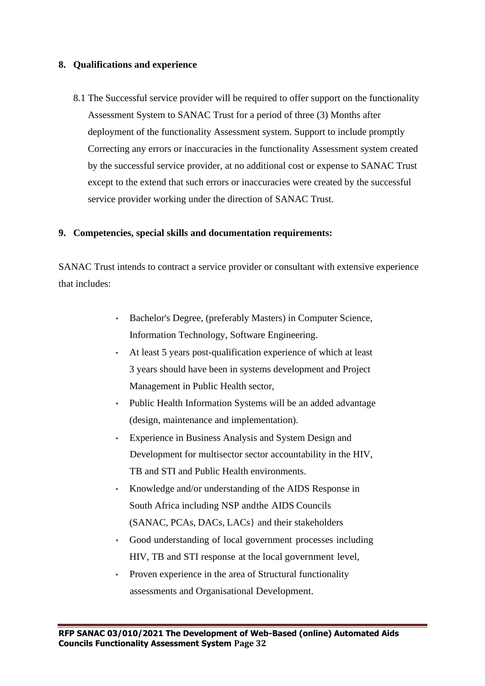## **8. Qualifications and experience**

8.1 The Successful service provider will be required to offer support on the functionality Assessment System to SANAC Trust for a period of three (3) Months after deployment of the functionality Assessment system. Support to include promptly Correcting any errors or inaccuracies in the functionality Assessment system created by the successful service provider, at no additional cost or expense to SANAC Trust except to the extend that such errors or inaccuracies were created by the successful service provider working under the direction of SANAC Trust.

## **9. Competencies, special skills and documentation requirements:**

SANAC Trust intends to contract a service provider or consultant with extensive experience that includes:

- Bachelor's Degree, (preferably Masters) in Computer Science, Information Technology, Software Engineering.
- At least 5 years post-qualification experience of which at least 3 years should have been in systems development and Project Management in Public Health sector,
- Public Health Information Systems will be an added advantage (design, maintenance and implementation).
- Experience in Business Analysis and System Design and Development for multisector sector accountability in the HIV, TB and STI and Public Health environments.
- Knowledge and/or understanding of the AIDS Response in South Africa including NSP andthe AIDS Councils (SANAC, PCAs, DACs, LACs} and their stakeholders
- Good understanding of local government processes including HIV, TB and STI response at the local government level,
- Proven experience in the area of Structural functionality assessments and Organisational Development.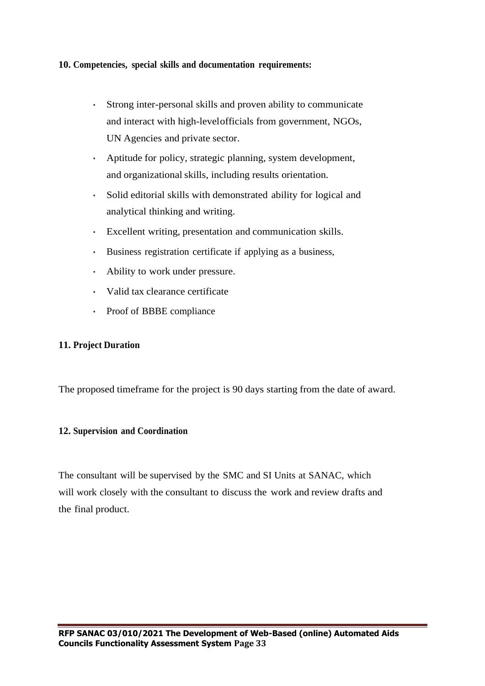## **10. Competencies, special skills and documentation requirements:**

- Strong inter-personal skills and proven ability to communicate and interact with high-levelofficials from government, NGOs, UN Agencies and private sector.
- Aptitude for policy, strategic planning, system development, and organizationalskills, including results orientation.
- Solid editorial skills with demonstrated ability for logical and analytical thinking and writing.
- Excellent writing, presentation and communication skills.
- Business registration certificate if applying as a business,
- Ability to work under pressure.
- Valid tax clearance certificate
- Proof of BBBE compliance

## **11. Project Duration**

The proposed timeframe for the project is 90 days starting from the date of award.

## **12. Supervision and Coordination**

The consultant will be supervised by the SMC and SI Units at SANAC, which will work closely with the consultant to discuss the work and review drafts and the final product.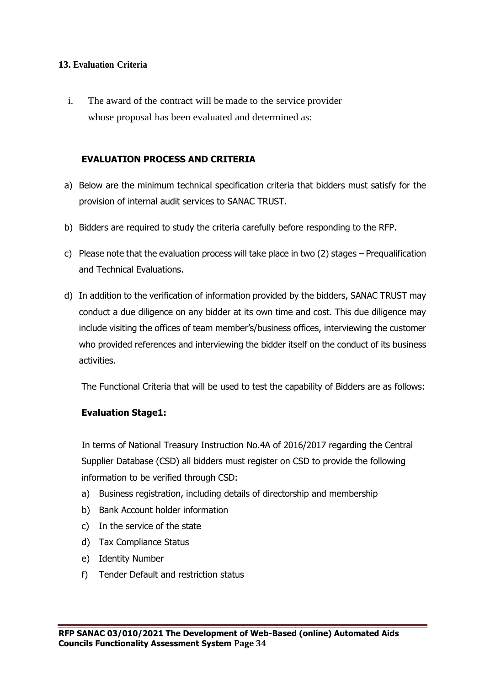## **13. Evaluation Criteria**

i. The award of the contract will be made to the service provider whose proposal has been evaluated and determined as:

# **EVALUATION PROCESS AND CRITERIA**

- a) Below are the minimum technical specification criteria that bidders must satisfy for the provision of internal audit services to SANAC TRUST.
- b) Bidders are required to study the criteria carefully before responding to the RFP.
- c) Please note that the evaluation process will take place in two (2) stages Prequalification and Technical Evaluations.
- d) In addition to the verification of information provided by the bidders, SANAC TRUST may conduct a due diligence on any bidder at its own time and cost. This due diligence may include visiting the offices of team member's/business offices, interviewing the customer who provided references and interviewing the bidder itself on the conduct of its business activities.

The Functional Criteria that will be used to test the capability of Bidders are as follows:

# **Evaluation Stage1:**

In terms of National Treasury Instruction No.4A of 2016/2017 regarding the Central Supplier Database (CSD) all bidders must register on CSD to provide the following information to be verified through CSD:

- a) Business registration, including details of directorship and membership
- b) Bank Account holder information
- c) In the service of the state
- d) Tax Compliance Status
- e) Identity Number
- f) Tender Default and restriction status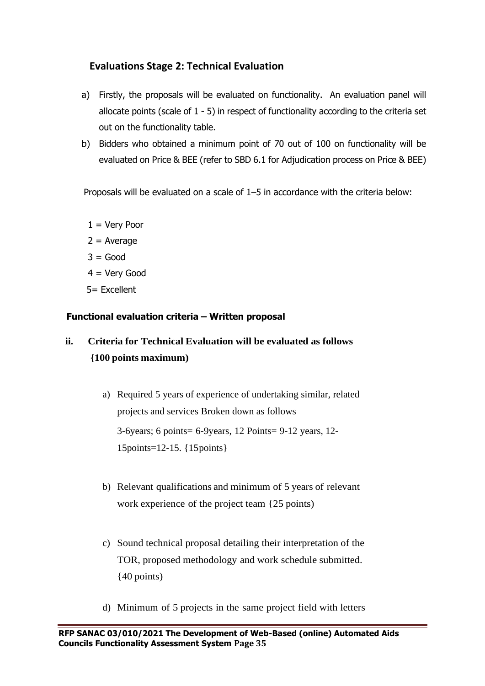# **Evaluations Stage 2: Technical Evaluation**

- a) Firstly, the proposals will be evaluated on functionality. An evaluation panel will allocate points (scale of 1 - 5) in respect of functionality according to the criteria set out on the functionality table.
- b) Bidders who obtained a minimum point of 70 out of 100 on functionality will be evaluated on Price & BEE (refer to SBD 6.1 for Adjudication process on Price & BEE)

Proposals will be evaluated on a scale of 1–5 in accordance with the criteria below:

- $1 =$  Very Poor
- $2 = Average$
- $3 = Good$
- 4 = Very Good
- 5= Excellent

# **Functional evaluation criteria – Written proposal**

- **ii. Criteria for Technical Evaluation will be evaluated as follows {100 points maximum)**
	- a) Required 5 years of experience of undertaking similar, related projects and services Broken down as follows 3-6years; 6 points= 6-9years, 12 Points= 9-12 years, 12- 15points=12-15. {15points}
	- b) Relevant qualifications and minimum of 5 years of relevant work experience of the project team {25 points)
	- c) Sound technical proposal detailing their interpretation of the TOR, proposed methodology and work schedule submitted. {40 points)
	- d) Minimum of 5 projects in the same project field with letters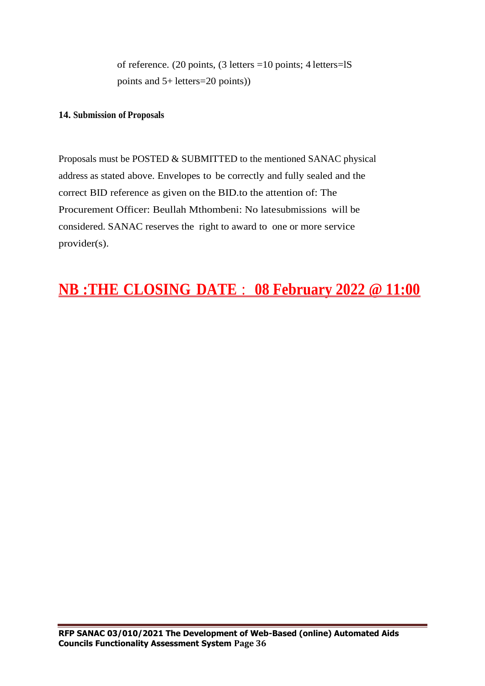of reference. (20 points, (3 letters =10 points; 4 letters=lS points and 5+ letters=20 points))

## **14. Submission of Proposals**

Proposals must be POSTED & SUBMITTED to the mentioned SANAC physical address as stated above. Envelopes to be correctly and fully sealed and the correct BID reference as given on the BID.to the attention of: The Procurement Officer: Beullah Mthombeni: No latesubmissions will be considered. SANAC reserves the right to award to one or more service provider(s).

# **NB :THE CLOSING DATE** : **08 February 2022 @ 11:00**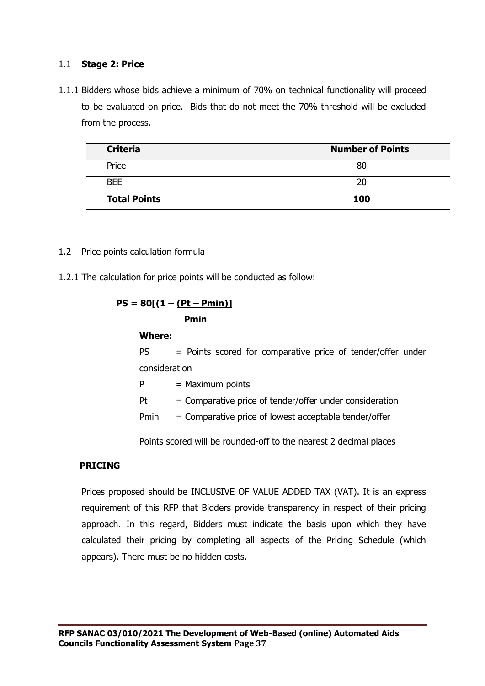## 1.1 **Stage 2: Price**

1.1.1 Bidders whose bids achieve a minimum of 70% on technical functionality will proceed to be evaluated on price. Bids that do not meet the 70% threshold will be excluded from the process.

| <b>Criteria</b>     | <b>Number of Points</b> |
|---------------------|-------------------------|
| Price               | 80                      |
| <b>BEE</b>          | 20                      |
| <b>Total Points</b> | 100                     |

#### 1.2 Price points calculation formula

1.2.1 The calculation for price points will be conducted as follow:

## $PS = 80[(1 - (Pt - Pmin))]$

 **Pmin**

| <b>Where:</b> |                                                                                                          |
|---------------|----------------------------------------------------------------------------------------------------------|
| <b>PS</b>     | = Points scored for comparative price of tender/offer under                                              |
| consideration |                                                                                                          |
| P             | $=$ Maximum points                                                                                       |
| Pt            | $=$ Comparative price of tender/offer under consideration                                                |
| Pmin          | = Comparative price of lowest acceptable tender/offer                                                    |
|               | <b>D</b> etails a considerable because the leading of the state and consider Detailed and a considerable |

Points scored will be rounded-off to the nearest 2 decimal places

#### **PRICING**

Prices proposed should be INCLUSIVE OF VALUE ADDED TAX (VAT). It is an express requirement of this RFP that Bidders provide transparency in respect of their pricing approach. In this regard, Bidders must indicate the basis upon which they have calculated their pricing by completing all aspects of the Pricing Schedule (which appears). There must be no hidden costs.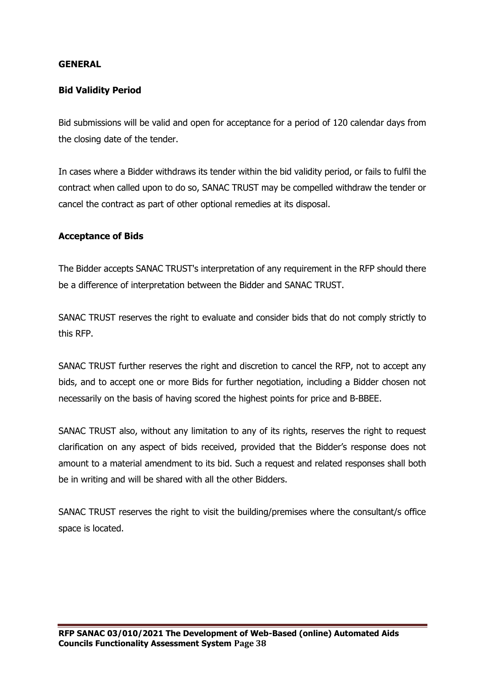## **GENERAL**

## **Bid Validity Period**

Bid submissions will be valid and open for acceptance for a period of 120 calendar days from the closing date of the tender.

In cases where a Bidder withdraws its tender within the bid validity period, or fails to fulfil the contract when called upon to do so, SANAC TRUST may be compelled withdraw the tender or cancel the contract as part of other optional remedies at its disposal.

## **Acceptance of Bids**

The Bidder accepts SANAC TRUST's interpretation of any requirement in the RFP should there be a difference of interpretation between the Bidder and SANAC TRUST.

SANAC TRUST reserves the right to evaluate and consider bids that do not comply strictly to this RFP.

SANAC TRUST further reserves the right and discretion to cancel the RFP, not to accept any bids, and to accept one or more Bids for further negotiation, including a Bidder chosen not necessarily on the basis of having scored the highest points for price and B-BBEE.

SANAC TRUST also, without any limitation to any of its rights, reserves the right to request clarification on any aspect of bids received, provided that the Bidder's response does not amount to a material amendment to its bid. Such a request and related responses shall both be in writing and will be shared with all the other Bidders.

SANAC TRUST reserves the right to visit the building/premises where the consultant/s office space is located.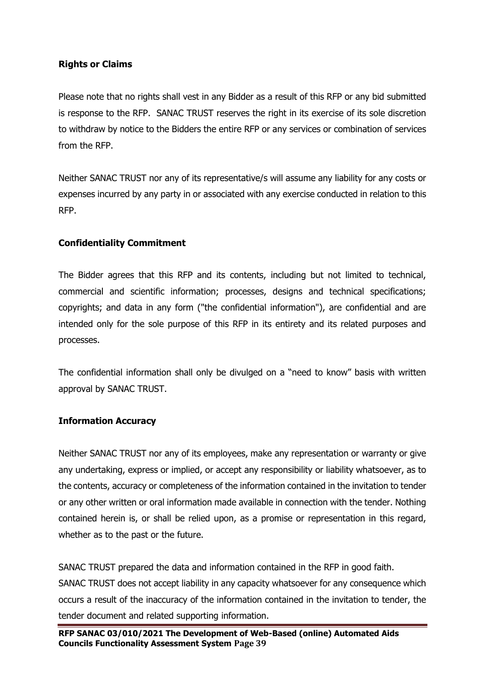# **Rights or Claims**

Please note that no rights shall vest in any Bidder as a result of this RFP or any bid submitted is response to the RFP. SANAC TRUST reserves the right in its exercise of its sole discretion to withdraw by notice to the Bidders the entire RFP or any services or combination of services from the RFP.

Neither SANAC TRUST nor any of its representative/s will assume any liability for any costs or expenses incurred by any party in or associated with any exercise conducted in relation to this RFP.

# **Confidentiality Commitment**

The Bidder agrees that this RFP and its contents, including but not limited to technical, commercial and scientific information; processes, designs and technical specifications; copyrights; and data in any form ("the confidential information"), are confidential and are intended only for the sole purpose of this RFP in its entirety and its related purposes and processes.

The confidential information shall only be divulged on a "need to know" basis with written approval by SANAC TRUST.

# **Information Accuracy**

Neither SANAC TRUST nor any of its employees, make any representation or warranty or give any undertaking, express or implied, or accept any responsibility or liability whatsoever, as to the contents, accuracy or completeness of the information contained in the invitation to tender or any other written or oral information made available in connection with the tender. Nothing contained herein is, or shall be relied upon, as a promise or representation in this regard, whether as to the past or the future.

SANAC TRUST prepared the data and information contained in the RFP in good faith. SANAC TRUST does not accept liability in any capacity whatsoever for any consequence which occurs a result of the inaccuracy of the information contained in the invitation to tender, the tender document and related supporting information.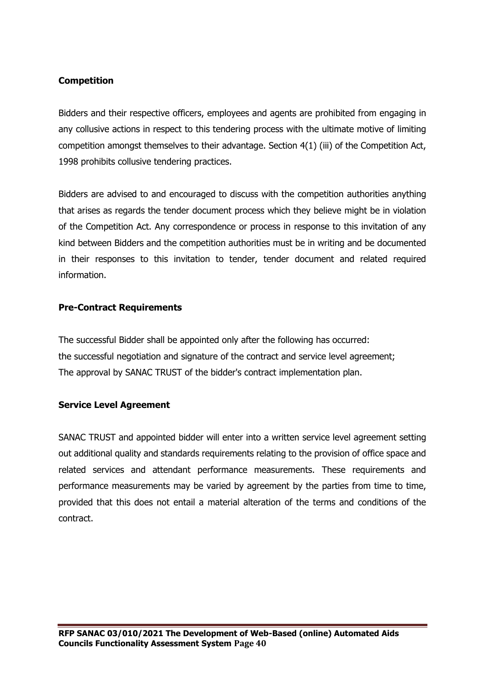# **Competition**

Bidders and their respective officers, employees and agents are prohibited from engaging in any collusive actions in respect to this tendering process with the ultimate motive of limiting competition amongst themselves to their advantage. Section 4(1) (iii) of the Competition Act, 1998 prohibits collusive tendering practices.

Bidders are advised to and encouraged to discuss with the competition authorities anything that arises as regards the tender document process which they believe might be in violation of the Competition Act. Any correspondence or process in response to this invitation of any kind between Bidders and the competition authorities must be in writing and be documented in their responses to this invitation to tender, tender document and related required information.

## **Pre-Contract Requirements**

The successful Bidder shall be appointed only after the following has occurred: the successful negotiation and signature of the contract and service level agreement; The approval by SANAC TRUST of the bidder's contract implementation plan.

## **Service Level Agreement**

SANAC TRUST and appointed bidder will enter into a written service level agreement setting out additional quality and standards requirements relating to the provision of office space and related services and attendant performance measurements. These requirements and performance measurements may be varied by agreement by the parties from time to time, provided that this does not entail a material alteration of the terms and conditions of the contract.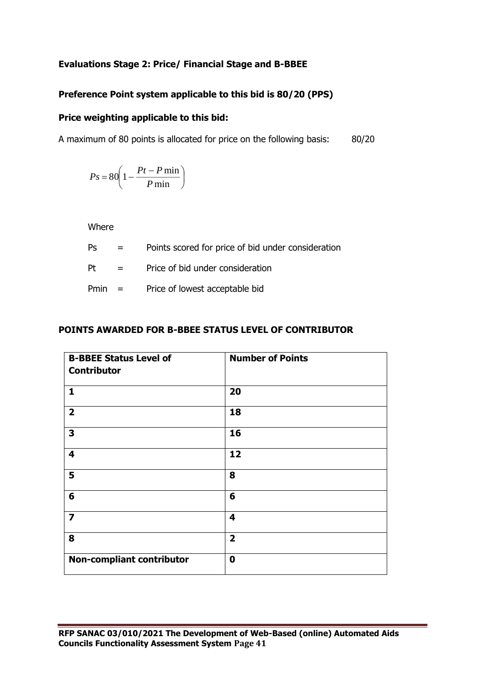# **Evaluations Stage 2: Price/ Financial Stage and B-BBEE**

# **Preference Point system applicable to this bid is 80/20 (PPS)**

# **Price weighting applicable to this bid:**

A maximum of 80 points is allocated for price on the following basis: 80/20

$$
Ps = 80 \left( 1 - \frac{Pt - P \min}{P \min} \right)
$$

Where

| Ps | $\mathbf{r} = \mathbf{r}$ | Points scored for price of bid under consideration |
|----|---------------------------|----------------------------------------------------|
| Pt | $\mathbf{r} = \mathbf{r}$ | Price of bid under consideration                   |
|    | $Pmin =$                  | Price of lowest acceptable bid                     |

# **POINTS AWARDED FOR B-BBEE STATUS LEVEL OF CONTRIBUTOR**

| <b>B-BBEE Status Level of</b><br><b>Contributor</b> | <b>Number of Points</b> |
|-----------------------------------------------------|-------------------------|
| $\mathbf{1}$                                        | 20                      |
| $\overline{\mathbf{2}}$                             | 18                      |
| 3                                                   | 16                      |
| $\overline{\mathbf{4}}$                             | 12                      |
| 5                                                   | 8                       |
| $6\phantom{1}$                                      | 6                       |
| $\overline{\mathbf{z}}$                             | 4                       |
| 8                                                   | $\overline{2}$          |
| <b>Non-compliant contributor</b>                    | $\bf{0}$                |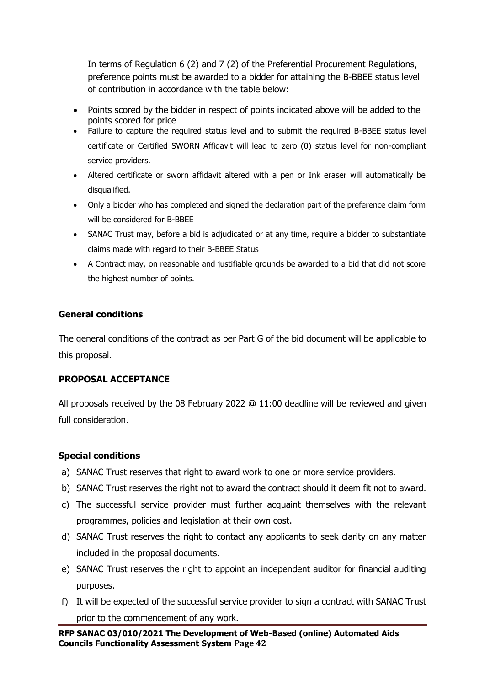In terms of Regulation 6 (2) and 7 (2) of the Preferential Procurement Regulations, preference points must be awarded to a bidder for attaining the B-BBEE status level of contribution in accordance with the table below:

- Points scored by the bidder in respect of points indicated above will be added to the points scored for price
- Failure to capture the required status level and to submit the required B-BBEE status level certificate or Certified SWORN Affidavit will lead to zero (0) status level for non-compliant service providers.
- Altered certificate or sworn affidavit altered with a pen or Ink eraser will automatically be disqualified.
- Only a bidder who has completed and signed the declaration part of the preference claim form will be considered for B-BBEE
- SANAC Trust may, before a bid is adjudicated or at any time, require a bidder to substantiate claims made with regard to their B-BBEE Status
- A Contract may, on reasonable and justifiable grounds be awarded to a bid that did not score the highest number of points.

# **General conditions**

The general conditions of the contract as per Part G of the bid document will be applicable to this proposal.

# **PROPOSAL ACCEPTANCE**

All proposals received by the 08 February 2022 @ 11:00 deadline will be reviewed and given full consideration.

# **Special conditions**

- a) SANAC Trust reserves that right to award work to one or more service providers.
- b) SANAC Trust reserves the right not to award the contract should it deem fit not to award.
- c) The successful service provider must further acquaint themselves with the relevant programmes, policies and legislation at their own cost.
- d) SANAC Trust reserves the right to contact any applicants to seek clarity on any matter included in the proposal documents.
- e) SANAC Trust reserves the right to appoint an independent auditor for financial auditing purposes.
- f) It will be expected of the successful service provider to sign a contract with SANAC Trust prior to the commencement of any work.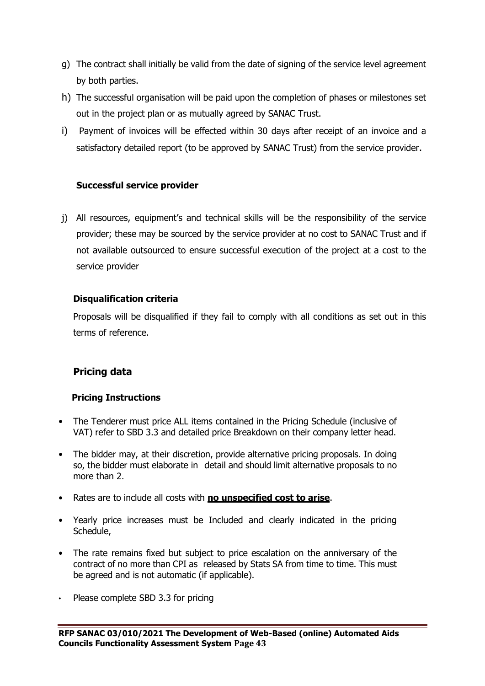- g) The contract shall initially be valid from the date of signing of the service level agreement by both parties.
- h) The successful organisation will be paid upon the completion of phases or milestones set out in the project plan or as mutually agreed by SANAC Trust.
- i) Payment of invoices will be effected within 30 days after receipt of an invoice and a satisfactory detailed report (to be approved by SANAC Trust) from the service provider.

# **Successful service provider**

j) All resources, equipment's and technical skills will be the responsibility of the service provider; these may be sourced by the service provider at no cost to SANAC Trust and if not available outsourced to ensure successful execution of the project at a cost to the service provider

## **Disqualification criteria**

Proposals will be disqualified if they fail to comply with all conditions as set out in this terms of reference.

# **Pricing data**

# **Pricing Instructions**

- The Tenderer must price ALL items contained in the Pricing Schedule (inclusive of VAT) refer to SBD 3.3 and detailed price Breakdown on their company letter head.
- The bidder may, at their discretion, provide alternative pricing proposals. In doing so, the bidder must elaborate in detail and should limit alternative proposals to no more than 2.
- Rates are to include all costs with **no unspecified cost to arise**.
- Yearly price increases must be Included and clearly indicated in the pricing Schedule,
- The rate remains fixed but subject to price escalation on the anniversary of the contract of no more than CPI as released by Stats SA from time to time. This must be agreed and is not automatic (if applicable).
- Please complete SBD 3.3 for pricing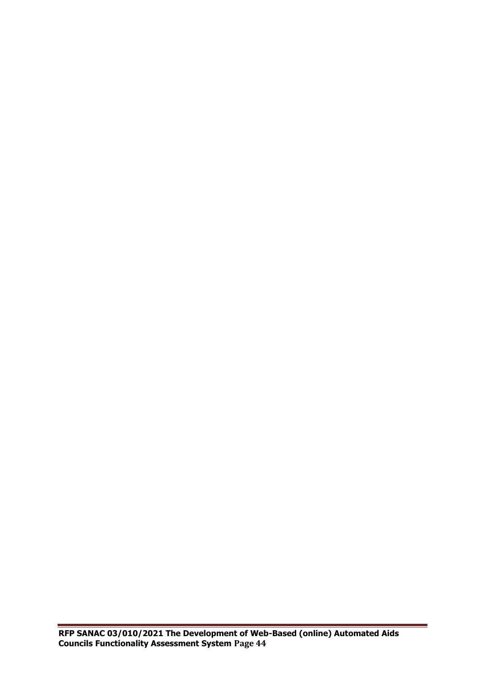**RFP SANAC 03/010/2021 The Development of Web-Based (online) Automated Aids Councils Functionality Assessment System Page 44**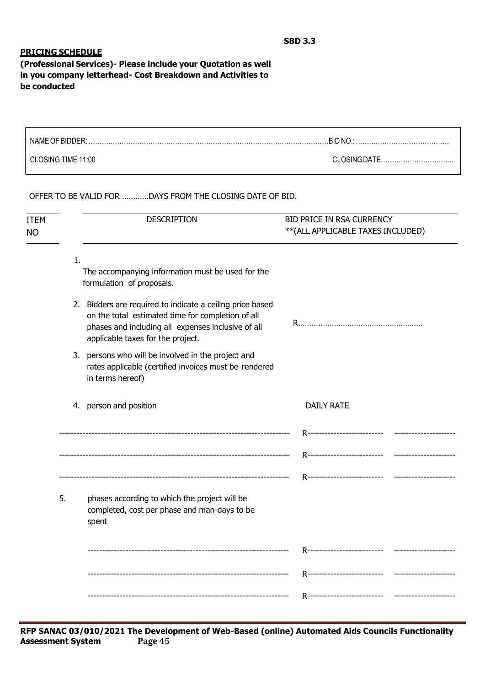### **PRICING SCHEDULE**

**(Professional Services)- Please include your Quotation as well in you company letterhead- Cost Breakdown and Activities to be conducted**

| NAME OF BIDDER:    | .bid no      |
|--------------------|--------------|
| CLOSING TIME 11:00 | CLOSINGDATE. |

OFFER TO BE VALID FOR …………DAYS FROM THE CLOSING DATE OF BID.

| <b>ITEM</b><br><b>NO</b> |    | <b>DESCRIPTION</b>                                                                                                                                                                                        | BID PRICE IN RSA CURRENCY<br>** (ALL APPLICABLE TAXES INCLUDED) |                    |
|--------------------------|----|-----------------------------------------------------------------------------------------------------------------------------------------------------------------------------------------------------------|-----------------------------------------------------------------|--------------------|
|                          | 1. | The accompanying information must be used for the<br>formulation of proposals.                                                                                                                            |                                                                 |                    |
|                          |    | 2. Bidders are required to indicate a ceiling price based<br>on the total estimated time for completion of all<br>phases and including all expenses inclusive of all<br>applicable taxes for the project. |                                                                 |                    |
|                          |    | 3. persons who will be involved in the project and<br>rates applicable (certified invoices must be rendered<br>in terms hereof)                                                                           |                                                                 |                    |
|                          |    | 4. person and position                                                                                                                                                                                    | <b>DAILY RATE</b>                                               |                    |
|                          |    |                                                                                                                                                                                                           |                                                                 |                    |
|                          |    |                                                                                                                                                                                                           |                                                                 |                    |
|                          | 5. | phases according to which the project will be<br>completed, cost per phase and man-days to be<br>spent                                                                                                    |                                                                 |                    |
|                          |    |                                                                                                                                                                                                           | R---------------------------                                    | ------------------ |
|                          |    |                                                                                                                                                                                                           |                                                                 |                    |
|                          |    |                                                                                                                                                                                                           | R----------------------------                                   |                    |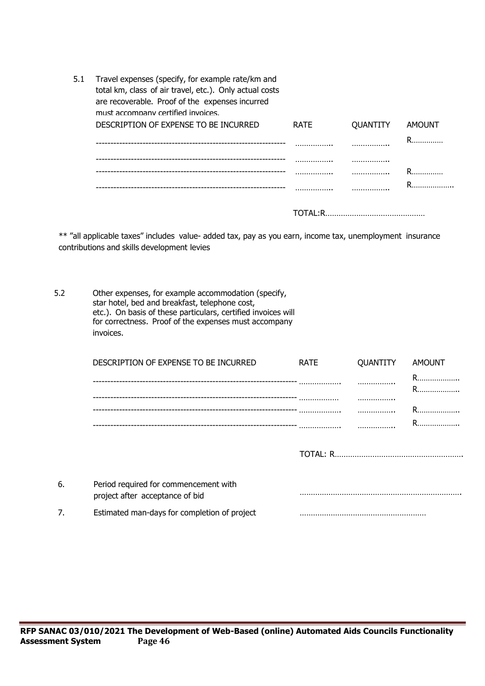| 5.1 | Travel expenses (specify, for example rate/km and<br>total km, class of air travel, etc.). Only actual costs<br>are recoverable. Proof of the expenses incurred<br>must accompany certified invoices. |             |                 |        |
|-----|-------------------------------------------------------------------------------------------------------------------------------------------------------------------------------------------------------|-------------|-----------------|--------|
|     | DESCRIPTION OF EXPENSE TO BE INCURRED                                                                                                                                                                 | <b>RATE</b> | <b>OUANTITY</b> | AMOUNT |
|     |                                                                                                                                                                                                       | .           | .               | R.     |
|     |                                                                                                                                                                                                       | .           | .               |        |
|     |                                                                                                                                                                                                       |             |                 | R.     |
|     |                                                                                                                                                                                                       |             |                 | R.     |
|     |                                                                                                                                                                                                       |             |                 |        |

\*\* "all applicable taxes" includes value- added tax, pay as you earn, income tax, unemployment insurance contributions and skills development levies

5.2 Other expenses, for example accommodation (specify, star hotel, bed and breakfast, telephone cost, etc.). On basis of these particulars, certified invoices will for correctness. Proof of the expenses must accompany invoices.

|    | DESCRIPTION OF EXPENSE TO BE INCURRED                                    | <b>RATE</b>     | <b>QUANTITY</b> | <b>AMOUNT</b>    |
|----|--------------------------------------------------------------------------|-----------------|-----------------|------------------|
|    |                                                                          |                 |                 | R                |
|    | --------------------------------------                                   |                 |                 |                  |
|    |                                                                          |                 |                 | $R_{\odot}$<br>. |
|    | -----------------------<br>----------------------------                  |                 |                 | R                |
|    |                                                                          | <b>TOTAL: R</b> |                 |                  |
| 6. | Period required for commencement with<br>project after acceptance of bid |                 |                 |                  |
| 7. | Estimated man-days for completion of project                             |                 |                 |                  |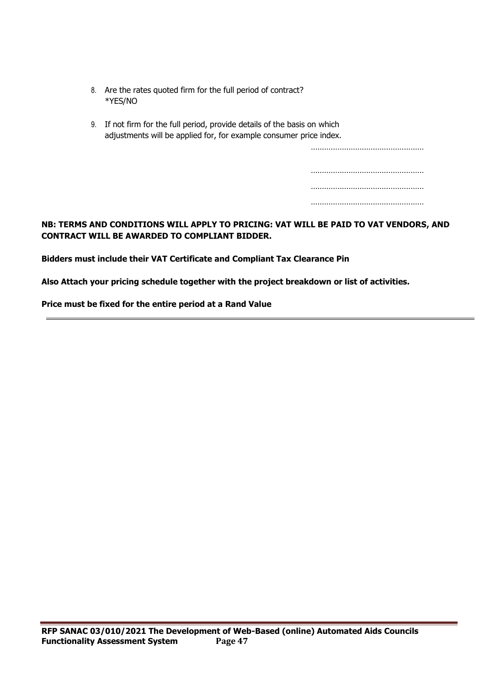- 8. Are the rates quoted firm for the full period of contract? \*YES/NO
- 9. If not firm for the full period, provide details of the basis on which adjustments will be applied for, for example consumer price index.

……………………………………………

### **NB: TERMS AND CONDITIONS WILL APPLY TO PRICING: VAT WILL BE PAID TO VAT VENDORS, AND CONTRACT WILL BE AWARDED TO COMPLIANT BIDDER.**

**Bidders must include their VAT Certificate and Compliant Tax Clearance Pin**

**Also Attach your pricing schedule together with the project breakdown or list of activities.**

**Price must be fixed for the entire period at a Rand Value**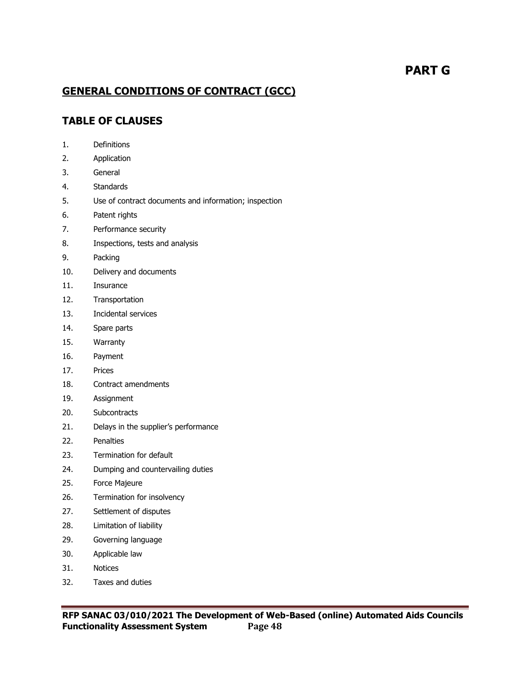# **PART G**

# **GENERAL CONDITIONS OF CONTRACT (GCC)**

# **TABLE OF CLAUSES**

- 1. Definitions
- 2. Application
- 3. General
- 4. Standards
- 5. Use of contract documents and information; inspection
- 6. Patent rights
- 7. Performance security
- 8. Inspections, tests and analysis
- 9. Packing
- 10. Delivery and documents
- 11. Insurance
- 12. Transportation
- 13. Incidental services
- 14. Spare parts
- 15. Warranty
- 16. Payment
- 17. Prices
- 18. Contract amendments
- 19. Assignment
- 20. Subcontracts
- 21. Delays in the supplier's performance
- 22. Penalties
- 23. Termination for default
- 24. Dumping and countervailing duties
- 25. Force Majeure
- 26. Termination for insolvency
- 27. Settlement of disputes
- 28. Limitation of liability
- 29. Governing language
- 30. Applicable law
- 31. Notices
- 32. Taxes and duties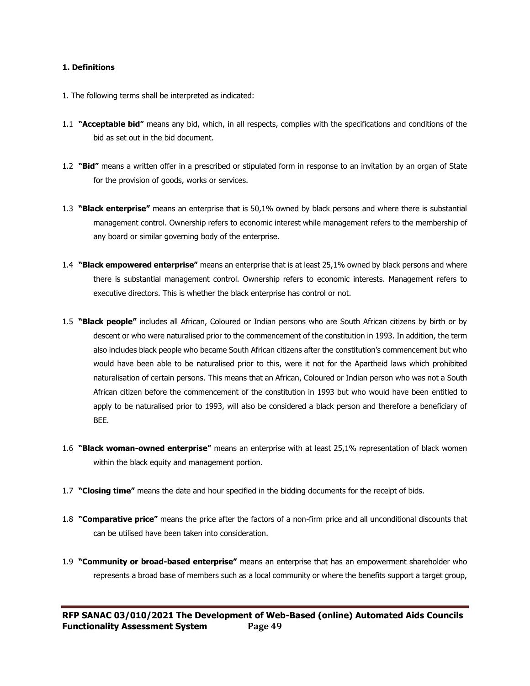#### **1. Definitions**

- 1. The following terms shall be interpreted as indicated:
- 1.1 **"Acceptable bid"** means any bid, which, in all respects, complies with the specifications and conditions of the bid as set out in the bid document.
- 1.2 **"Bid"** means a written offer in a prescribed or stipulated form in response to an invitation by an organ of State for the provision of goods, works or services.
- 1.3 **"Black enterprise"** means an enterprise that is 50,1% owned by black persons and where there is substantial management control. Ownership refers to economic interest while management refers to the membership of any board or similar governing body of the enterprise.
- 1.4 **"Black empowered enterprise"** means an enterprise that is at least 25,1% owned by black persons and where there is substantial management control. Ownership refers to economic interests. Management refers to executive directors. This is whether the black enterprise has control or not.
- 1.5 **"Black people"** includes all African, Coloured or Indian persons who are South African citizens by birth or by descent or who were naturalised prior to the commencement of the constitution in 1993. In addition, the term also includes black people who became South African citizens after the constitution's commencement but who would have been able to be naturalised prior to this, were it not for the Apartheid laws which prohibited naturalisation of certain persons. This means that an African, Coloured or Indian person who was not a South African citizen before the commencement of the constitution in 1993 but who would have been entitled to apply to be naturalised prior to 1993, will also be considered a black person and therefore a beneficiary of BEE.
- 1.6 **"Black woman-owned enterprise"** means an enterprise with at least 25,1% representation of black women within the black equity and management portion.
- 1.7 **"Closing time"** means the date and hour specified in the bidding documents for the receipt of bids.
- 1.8 **"Comparative price"** means the price after the factors of a non-firm price and all unconditional discounts that can be utilised have been taken into consideration.
- 1.9 **"Community or broad-based enterprise"** means an enterprise that has an empowerment shareholder who represents a broad base of members such as a local community or where the benefits support a target group,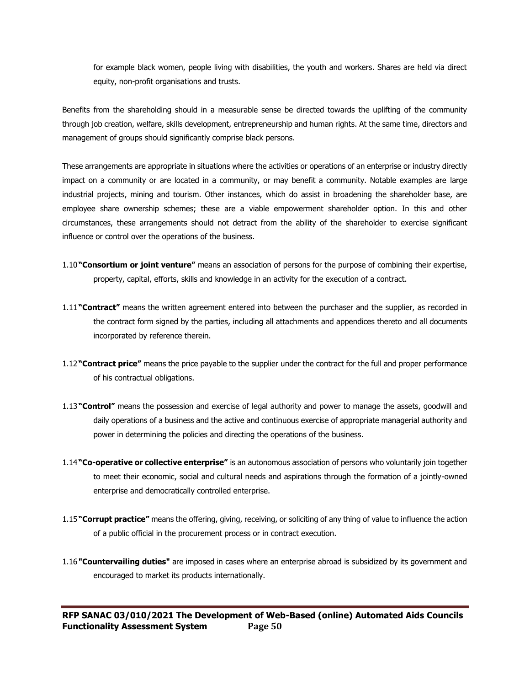for example black women, people living with disabilities, the youth and workers. Shares are held via direct equity, non-profit organisations and trusts.

Benefits from the shareholding should in a measurable sense be directed towards the uplifting of the community through job creation, welfare, skills development, entrepreneurship and human rights. At the same time, directors and management of groups should significantly comprise black persons.

These arrangements are appropriate in situations where the activities or operations of an enterprise or industry directly impact on a community or are located in a community, or may benefit a community. Notable examples are large industrial projects, mining and tourism. Other instances, which do assist in broadening the shareholder base, are employee share ownership schemes; these are a viable empowerment shareholder option. In this and other circumstances, these arrangements should not detract from the ability of the shareholder to exercise significant influence or control over the operations of the business.

- 1.10**"Consortium or joint venture"** means an association of persons for the purpose of combining their expertise, property, capital, efforts, skills and knowledge in an activity for the execution of a contract.
- 1.11**"Contract"** means the written agreement entered into between the purchaser and the supplier, as recorded in the contract form signed by the parties, including all attachments and appendices thereto and all documents incorporated by reference therein.
- 1.12**"Contract price"** means the price payable to the supplier under the contract for the full and proper performance of his contractual obligations.
- 1.13**"Control"** means the possession and exercise of legal authority and power to manage the assets, goodwill and daily operations of a business and the active and continuous exercise of appropriate managerial authority and power in determining the policies and directing the operations of the business.
- 1.14**"Co-operative or collective enterprise"** is an autonomous association of persons who voluntarily join together to meet their economic, social and cultural needs and aspirations through the formation of a jointly-owned enterprise and democratically controlled enterprise.
- 1.15**"Corrupt practice"** means the offering, giving, receiving, or soliciting of any thing of value to influence the action of a public official in the procurement process or in contract execution.
- 1.16**"Countervailing duties"** are imposed in cases where an enterprise abroad is subsidized by its government and encouraged to market its products internationally.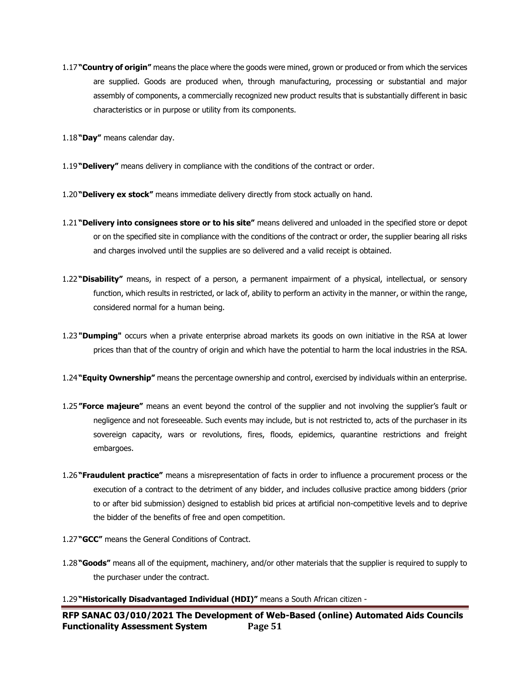1.17**"Country of origin"** means the place where the goods were mined, grown or produced or from which the services are supplied. Goods are produced when, through manufacturing, processing or substantial and major assembly of components, a commercially recognized new product results that is substantially different in basic characteristics or in purpose or utility from its components.

1.18**"Day"** means calendar day.

- 1.19**"Delivery"** means delivery in compliance with the conditions of the contract or order.
- 1.20**"Delivery ex stock"** means immediate delivery directly from stock actually on hand.
- 1.21**"Delivery into consignees store or to his site"** means delivered and unloaded in the specified store or depot or on the specified site in compliance with the conditions of the contract or order, the supplier bearing all risks and charges involved until the supplies are so delivered and a valid receipt is obtained.
- 1.22**"Disability"** means, in respect of a person, a permanent impairment of a physical, intellectual, or sensory function, which results in restricted, or lack of, ability to perform an activity in the manner, or within the range, considered normal for a human being.
- 1.23**"Dumping"** occurs when a private enterprise abroad markets its goods on own initiative in the RSA at lower prices than that of the country of origin and which have the potential to harm the local industries in the RSA.
- 1.24**"Equity Ownership"** means the percentage ownership and control, exercised by individuals within an enterprise.
- 1.25**"Force majeure"** means an event beyond the control of the supplier and not involving the supplier's fault or negligence and not foreseeable. Such events may include, but is not restricted to, acts of the purchaser in its sovereign capacity, wars or revolutions, fires, floods, epidemics, quarantine restrictions and freight embargoes.
- 1.26**"Fraudulent practice"** means a misrepresentation of facts in order to influence a procurement process or the execution of a contract to the detriment of any bidder, and includes collusive practice among bidders (prior to or after bid submission) designed to establish bid prices at artificial non-competitive levels and to deprive the bidder of the benefits of free and open competition.
- 1.27**"GCC"** means the General Conditions of Contract.
- 1.28**"Goods"** means all of the equipment, machinery, and/or other materials that the supplier is required to supply to the purchaser under the contract.

#### 1.29**"Historically Disadvantaged Individual (HDI)"** means a South African citizen -

**RFP SANAC 03/010/2021 The Development of Web-Based (online) Automated Aids Councils Functionality Assessment System** Page 51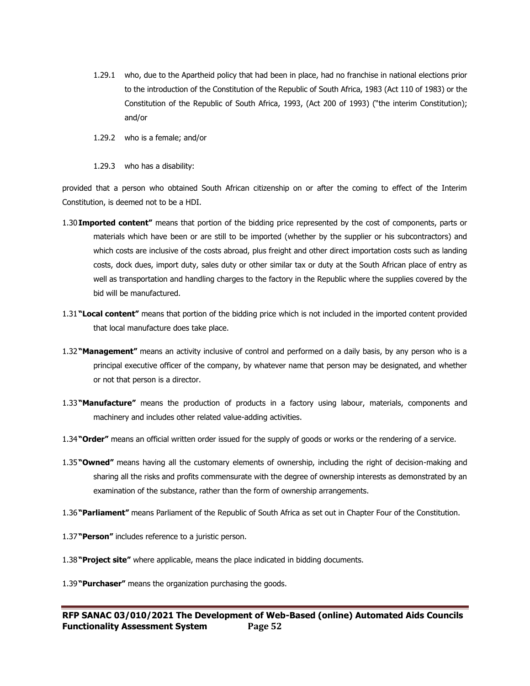- 1.29.1 who, due to the Apartheid policy that had been in place, had no franchise in national elections prior to the introduction of the Constitution of the Republic of South Africa, 1983 (Act 110 of 1983) or the Constitution of the Republic of South Africa, 1993, (Act 200 of 1993) ("the interim Constitution); and/or
- 1.29.2 who is a female; and/or
- 1.29.3 who has a disability:

provided that a person who obtained South African citizenship on or after the coming to effect of the Interim Constitution, is deemed not to be a HDI.

- 1.30**Imported content"** means that portion of the bidding price represented by the cost of components, parts or materials which have been or are still to be imported (whether by the supplier or his subcontractors) and which costs are inclusive of the costs abroad, plus freight and other direct importation costs such as landing costs, dock dues, import duty, sales duty or other similar tax or duty at the South African place of entry as well as transportation and handling charges to the factory in the Republic where the supplies covered by the bid will be manufactured.
- 1.31**"Local content"** means that portion of the bidding price which is not included in the imported content provided that local manufacture does take place.
- 1.32**"Management"** means an activity inclusive of control and performed on a daily basis, by any person who is a principal executive officer of the company, by whatever name that person may be designated, and whether or not that person is a director.
- 1.33**"Manufacture"** means the production of products in a factory using labour, materials, components and machinery and includes other related value-adding activities.
- 1.34**"Order"** means an official written order issued for the supply of goods or works or the rendering of a service.
- 1.35**"Owned"** means having all the customary elements of ownership, including the right of decision-making and sharing all the risks and profits commensurate with the degree of ownership interests as demonstrated by an examination of the substance, rather than the form of ownership arrangements.
- 1.36**"Parliament"** means Parliament of the Republic of South Africa as set out in Chapter Four of the Constitution.
- 1.37**"Person"** includes reference to a juristic person.
- 1.38**"Project site"** where applicable, means the place indicated in bidding documents.
- 1.39**"Purchaser"** means the organization purchasing the goods.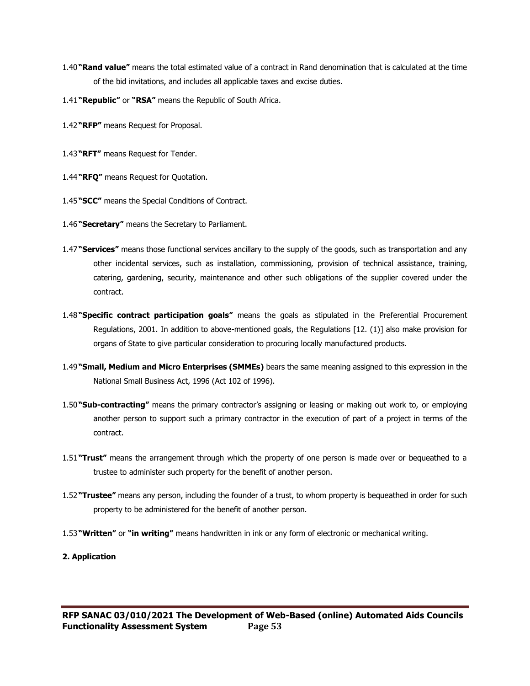- 1.40**"Rand value"** means the total estimated value of a contract in Rand denomination that is calculated at the time of the bid invitations, and includes all applicable taxes and excise duties.
- 1.41**"Republic"** or **"RSA"** means the Republic of South Africa.
- 1.42**"RFP"** means Request for Proposal.
- 1.43**"RFT"** means Request for Tender.
- 1.44**"RFQ"** means Request for Quotation.
- 1.45**"SCC"** means the Special Conditions of Contract.
- 1.46**"Secretary"** means the Secretary to Parliament.
- 1.47**"Services"** means those functional services ancillary to the supply of the goods, such as transportation and any other incidental services, such as installation, commissioning, provision of technical assistance, training, catering, gardening, security, maintenance and other such obligations of the supplier covered under the contract.
- 1.48**"Specific contract participation goals"** means the goals as stipulated in the Preferential Procurement Regulations, 2001. In addition to above-mentioned goals, the Regulations [12. (1)] also make provision for organs of State to give particular consideration to procuring locally manufactured products.
- 1.49**"Small, Medium and Micro Enterprises (SMMEs)** bears the same meaning assigned to this expression in the National Small Business Act, 1996 (Act 102 of 1996).
- 1.50**"Sub-contracting"** means the primary contractor's assigning or leasing or making out work to, or employing another person to support such a primary contractor in the execution of part of a project in terms of the contract.
- 1.51**"Trust"** means the arrangement through which the property of one person is made over or bequeathed to a trustee to administer such property for the benefit of another person.
- 1.52**"Trustee"** means any person, including the founder of a trust, to whom property is bequeathed in order for such property to be administered for the benefit of another person.
- 1.53**"Written"** or **"in writing"** means handwritten in ink or any form of electronic or mechanical writing.
- **2. Application**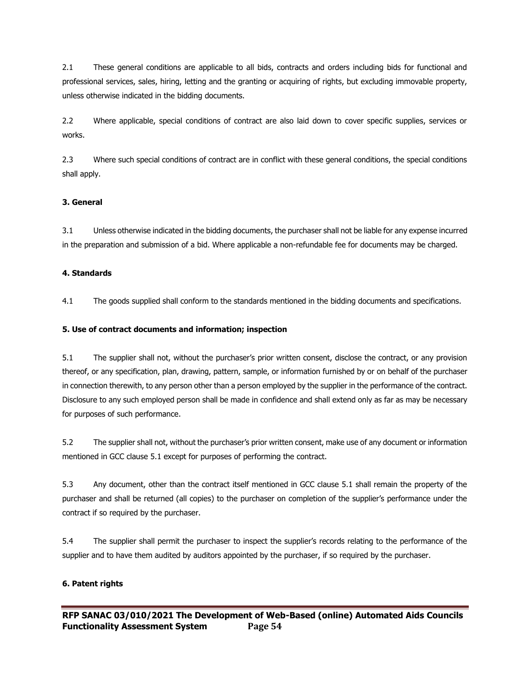2.1 These general conditions are applicable to all bids, contracts and orders including bids for functional and professional services, sales, hiring, letting and the granting or acquiring of rights, but excluding immovable property, unless otherwise indicated in the bidding documents.

2.2 Where applicable, special conditions of contract are also laid down to cover specific supplies, services or works.

2.3 Where such special conditions of contract are in conflict with these general conditions, the special conditions shall apply.

#### **3. General**

3.1 Unless otherwise indicated in the bidding documents, the purchaser shall not be liable for any expense incurred in the preparation and submission of a bid. Where applicable a non-refundable fee for documents may be charged.

#### **4. Standards**

4.1 The goods supplied shall conform to the standards mentioned in the bidding documents and specifications.

#### **5. Use of contract documents and information; inspection**

5.1 The supplier shall not, without the purchaser's prior written consent, disclose the contract, or any provision thereof, or any specification, plan, drawing, pattern, sample, or information furnished by or on behalf of the purchaser in connection therewith, to any person other than a person employed by the supplier in the performance of the contract. Disclosure to any such employed person shall be made in confidence and shall extend only as far as may be necessary for purposes of such performance.

5.2 The supplier shall not, without the purchaser's prior written consent, make use of any document or information mentioned in GCC clause 5.1 except for purposes of performing the contract.

5.3 Any document, other than the contract itself mentioned in GCC clause 5.1 shall remain the property of the purchaser and shall be returned (all copies) to the purchaser on completion of the supplier's performance under the contract if so required by the purchaser.

5.4 The supplier shall permit the purchaser to inspect the supplier's records relating to the performance of the supplier and to have them audited by auditors appointed by the purchaser, if so required by the purchaser.

#### **6. Patent rights**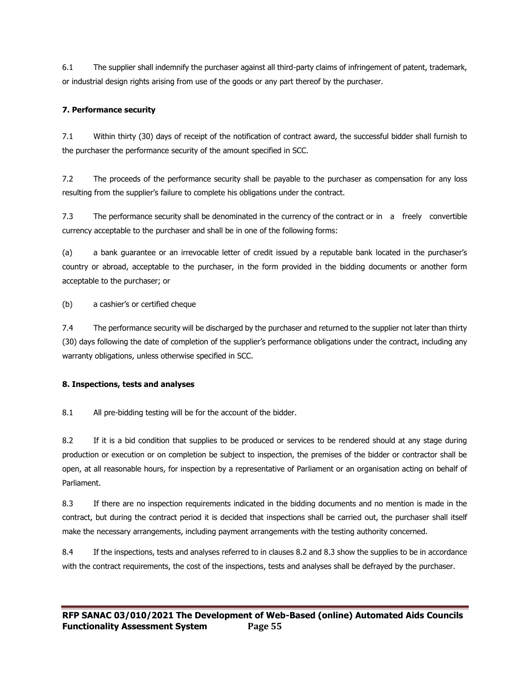6.1 The supplier shall indemnify the purchaser against all third-party claims of infringement of patent, trademark, or industrial design rights arising from use of the goods or any part thereof by the purchaser.

### **7. Performance security**

7.1 Within thirty (30) days of receipt of the notification of contract award, the successful bidder shall furnish to the purchaser the performance security of the amount specified in SCC.

7.2 The proceeds of the performance security shall be payable to the purchaser as compensation for any loss resulting from the supplier's failure to complete his obligations under the contract.

7.3 The performance security shall be denominated in the currency of the contract or in a freely convertible currency acceptable to the purchaser and shall be in one of the following forms:

(a) a bank guarantee or an irrevocable letter of credit issued by a reputable bank located in the purchaser's country or abroad, acceptable to the purchaser, in the form provided in the bidding documents or another form acceptable to the purchaser; or

(b) a cashier's or certified cheque

7.4 The performance security will be discharged by the purchaser and returned to the supplier not later than thirty (30) days following the date of completion of the supplier's performance obligations under the contract, including any warranty obligations, unless otherwise specified in SCC.

#### **8. Inspections, tests and analyses**

8.1 All pre-bidding testing will be for the account of the bidder.

8.2 If it is a bid condition that supplies to be produced or services to be rendered should at any stage during production or execution or on completion be subject to inspection, the premises of the bidder or contractor shall be open, at all reasonable hours, for inspection by a representative of Parliament or an organisation acting on behalf of Parliament.

8.3 If there are no inspection requirements indicated in the bidding documents and no mention is made in the contract, but during the contract period it is decided that inspections shall be carried out, the purchaser shall itself make the necessary arrangements, including payment arrangements with the testing authority concerned.

8.4 If the inspections, tests and analyses referred to in clauses 8.2 and 8.3 show the supplies to be in accordance with the contract requirements, the cost of the inspections, tests and analyses shall be defrayed by the purchaser.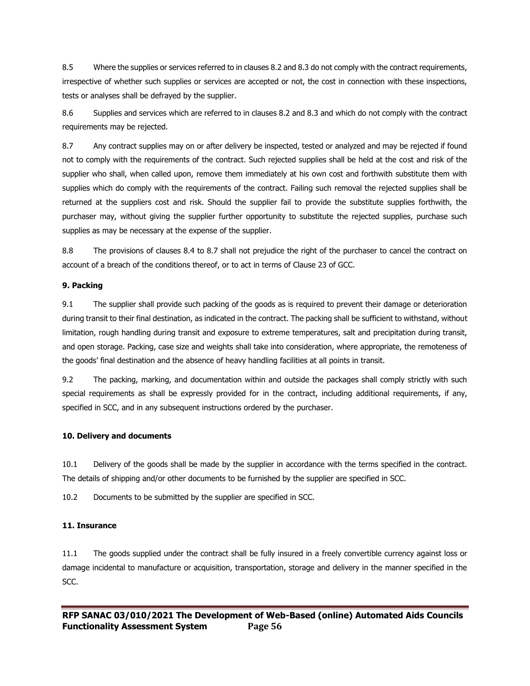8.5 Where the supplies or services referred to in clauses 8.2 and 8.3 do not comply with the contract requirements, irrespective of whether such supplies or services are accepted or not, the cost in connection with these inspections, tests or analyses shall be defrayed by the supplier.

8.6 Supplies and services which are referred to in clauses 8.2 and 8.3 and which do not comply with the contract requirements may be rejected.

8.7 Any contract supplies may on or after delivery be inspected, tested or analyzed and may be rejected if found not to comply with the requirements of the contract. Such rejected supplies shall be held at the cost and risk of the supplier who shall, when called upon, remove them immediately at his own cost and forthwith substitute them with supplies which do comply with the requirements of the contract. Failing such removal the rejected supplies shall be returned at the suppliers cost and risk. Should the supplier fail to provide the substitute supplies forthwith, the purchaser may, without giving the supplier further opportunity to substitute the rejected supplies, purchase such supplies as may be necessary at the expense of the supplier.

8.8 The provisions of clauses 8.4 to 8.7 shall not prejudice the right of the purchaser to cancel the contract on account of a breach of the conditions thereof, or to act in terms of Clause 23 of GCC.

#### **9. Packing**

9.1 The supplier shall provide such packing of the goods as is required to prevent their damage or deterioration during transit to their final destination, as indicated in the contract. The packing shall be sufficient to withstand, without limitation, rough handling during transit and exposure to extreme temperatures, salt and precipitation during transit, and open storage. Packing, case size and weights shall take into consideration, where appropriate, the remoteness of the goods' final destination and the absence of heavy handling facilities at all points in transit.

9.2 The packing, marking, and documentation within and outside the packages shall comply strictly with such special requirements as shall be expressly provided for in the contract, including additional requirements, if any, specified in SCC, and in any subsequent instructions ordered by the purchaser.

#### **10. Delivery and documents**

10.1 Delivery of the goods shall be made by the supplier in accordance with the terms specified in the contract. The details of shipping and/or other documents to be furnished by the supplier are specified in SCC.

10.2 Documents to be submitted by the supplier are specified in SCC.

#### **11. Insurance**

11.1 The goods supplied under the contract shall be fully insured in a freely convertible currency against loss or damage incidental to manufacture or acquisition, transportation, storage and delivery in the manner specified in the SCC.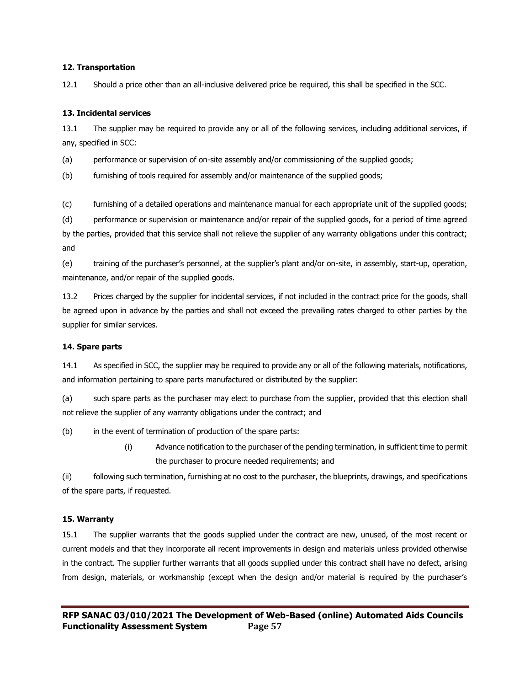#### **12. Transportation**

12.1 Should a price other than an all-inclusive delivered price be required, this shall be specified in the SCC.

#### **13. Incidental services**

13.1 The supplier may be required to provide any or all of the following services, including additional services, if any, specified in SCC:

(a) performance or supervision of on-site assembly and/or commissioning of the supplied goods;

(b) furnishing of tools required for assembly and/or maintenance of the supplied goods;

(c) furnishing of a detailed operations and maintenance manual for each appropriate unit of the supplied goods;

(d) performance or supervision or maintenance and/or repair of the supplied goods, for a period of time agreed by the parties, provided that this service shall not relieve the supplier of any warranty obligations under this contract; and

(e) training of the purchaser's personnel, at the supplier's plant and/or on-site, in assembly, start-up, operation, maintenance, and/or repair of the supplied goods.

13.2 Prices charged by the supplier for incidental services, if not included in the contract price for the goods, shall be agreed upon in advance by the parties and shall not exceed the prevailing rates charged to other parties by the supplier for similar services.

#### **14. Spare parts**

14.1 As specified in SCC, the supplier may be required to provide any or all of the following materials, notifications, and information pertaining to spare parts manufactured or distributed by the supplier:

(a) such spare parts as the purchaser may elect to purchase from the supplier, provided that this election shall not relieve the supplier of any warranty obligations under the contract; and

(b) in the event of termination of production of the spare parts:

(i) Advance notification to the purchaser of the pending termination, in sufficient time to permit the purchaser to procure needed requirements; and

(ii) following such termination, furnishing at no cost to the purchaser, the blueprints, drawings, and specifications of the spare parts, if requested.

#### **15. Warranty**

15.1 The supplier warrants that the goods supplied under the contract are new, unused, of the most recent or current models and that they incorporate all recent improvements in design and materials unless provided otherwise in the contract. The supplier further warrants that all goods supplied under this contract shall have no defect, arising from design, materials, or workmanship (except when the design and/or material is required by the purchaser's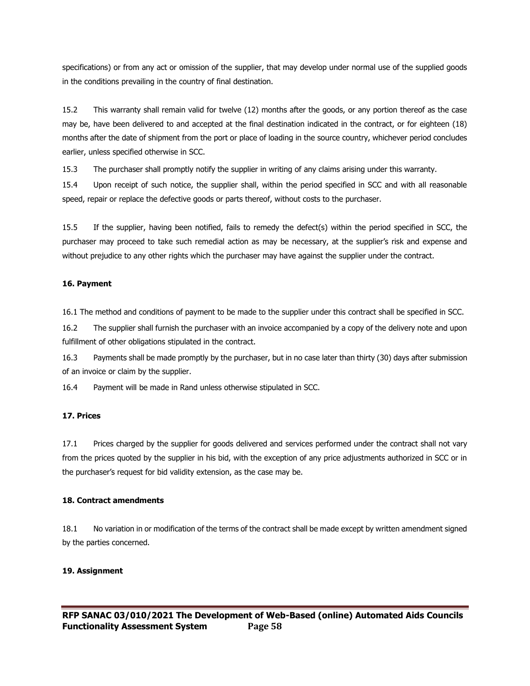specifications) or from any act or omission of the supplier, that may develop under normal use of the supplied goods in the conditions prevailing in the country of final destination.

15.2 This warranty shall remain valid for twelve (12) months after the goods, or any portion thereof as the case may be, have been delivered to and accepted at the final destination indicated in the contract, or for eighteen (18) months after the date of shipment from the port or place of loading in the source country, whichever period concludes earlier, unless specified otherwise in SCC.

15.3 The purchaser shall promptly notify the supplier in writing of any claims arising under this warranty.

15.4 Upon receipt of such notice, the supplier shall, within the period specified in SCC and with all reasonable speed, repair or replace the defective goods or parts thereof, without costs to the purchaser.

15.5 If the supplier, having been notified, fails to remedy the defect(s) within the period specified in SCC, the purchaser may proceed to take such remedial action as may be necessary, at the supplier's risk and expense and without prejudice to any other rights which the purchaser may have against the supplier under the contract.

#### **16. Payment**

16.1 The method and conditions of payment to be made to the supplier under this contract shall be specified in SCC.

16.2 The supplier shall furnish the purchaser with an invoice accompanied by a copy of the delivery note and upon fulfillment of other obligations stipulated in the contract.

16.3 Payments shall be made promptly by the purchaser, but in no case later than thirty (30) days after submission of an invoice or claim by the supplier.

16.4 Payment will be made in Rand unless otherwise stipulated in SCC.

#### **17. Prices**

17.1 Prices charged by the supplier for goods delivered and services performed under the contract shall not vary from the prices quoted by the supplier in his bid, with the exception of any price adjustments authorized in SCC or in the purchaser's request for bid validity extension, as the case may be.

#### **18. Contract amendments**

18.1 No variation in or modification of the terms of the contract shall be made except by written amendment signed by the parties concerned.

#### **19. Assignment**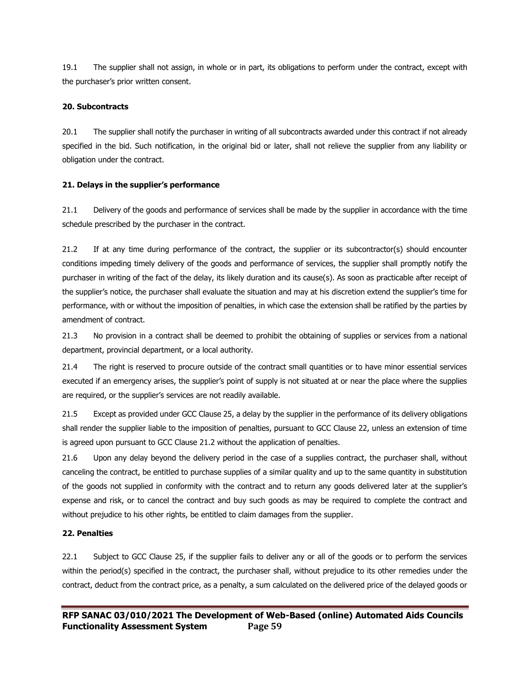19.1 The supplier shall not assign, in whole or in part, its obligations to perform under the contract, except with the purchaser's prior written consent.

#### **20. Subcontracts**

20.1 The supplier shall notify the purchaser in writing of all subcontracts awarded under this contract if not already specified in the bid. Such notification, in the original bid or later, shall not relieve the supplier from any liability or obligation under the contract.

#### **21. Delays in the supplier's performance**

21.1 Delivery of the goods and performance of services shall be made by the supplier in accordance with the time schedule prescribed by the purchaser in the contract.

21.2 If at any time during performance of the contract, the supplier or its subcontractor(s) should encounter conditions impeding timely delivery of the goods and performance of services, the supplier shall promptly notify the purchaser in writing of the fact of the delay, its likely duration and its cause(s). As soon as practicable after receipt of the supplier's notice, the purchaser shall evaluate the situation and may at his discretion extend the supplier's time for performance, with or without the imposition of penalties, in which case the extension shall be ratified by the parties by amendment of contract.

21.3 No provision in a contract shall be deemed to prohibit the obtaining of supplies or services from a national department, provincial department, or a local authority.

21.4 The right is reserved to procure outside of the contract small quantities or to have minor essential services executed if an emergency arises, the supplier's point of supply is not situated at or near the place where the supplies are required, or the supplier's services are not readily available.

21.5 Except as provided under GCC Clause 25, a delay by the supplier in the performance of its delivery obligations shall render the supplier liable to the imposition of penalties, pursuant to GCC Clause 22, unless an extension of time is agreed upon pursuant to GCC Clause 21.2 without the application of penalties.

21.6 Upon any delay beyond the delivery period in the case of a supplies contract, the purchaser shall, without canceling the contract, be entitled to purchase supplies of a similar quality and up to the same quantity in substitution of the goods not supplied in conformity with the contract and to return any goods delivered later at the supplier's expense and risk, or to cancel the contract and buy such goods as may be required to complete the contract and without prejudice to his other rights, be entitled to claim damages from the supplier.

#### **22. Penalties**

22.1 Subject to GCC Clause 25, if the supplier fails to deliver any or all of the goods or to perform the services within the period(s) specified in the contract, the purchaser shall, without prejudice to its other remedies under the contract, deduct from the contract price, as a penalty, a sum calculated on the delivered price of the delayed goods or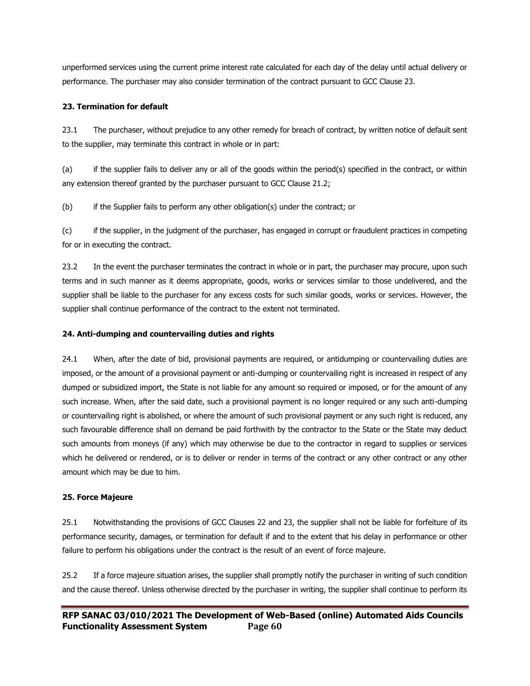unperformed services using the current prime interest rate calculated for each day of the delay until actual delivery or performance. The purchaser may also consider termination of the contract pursuant to GCC Clause 23.

#### **23. Termination for default**

23.1 The purchaser, without prejudice to any other remedy for breach of contract, by written notice of default sent to the supplier, may terminate this contract in whole or in part:

(a) if the supplier fails to deliver any or all of the goods within the period(s) specified in the contract, or within any extension thereof granted by the purchaser pursuant to GCC Clause 21.2;

(b) if the Supplier fails to perform any other obligation(s) under the contract; or

(c) if the supplier, in the judgment of the purchaser, has engaged in corrupt or fraudulent practices in competing for or in executing the contract.

23.2 In the event the purchaser terminates the contract in whole or in part, the purchaser may procure, upon such terms and in such manner as it deems appropriate, goods, works or services similar to those undelivered, and the supplier shall be liable to the purchaser for any excess costs for such similar goods, works or services. However, the supplier shall continue performance of the contract to the extent not terminated.

#### **24. Anti-dumping and countervailing duties and rights**

24.1 When, after the date of bid, provisional payments are required, or antidumping or countervailing duties are imposed, or the amount of a provisional payment or anti-dumping or countervailing right is increased in respect of any dumped or subsidized import, the State is not liable for any amount so required or imposed, or for the amount of any such increase. When, after the said date, such a provisional payment is no longer required or any such anti-dumping or countervailing right is abolished, or where the amount of such provisional payment or any such right is reduced, any such favourable difference shall on demand be paid forthwith by the contractor to the State or the State may deduct such amounts from moneys (if any) which may otherwise be due to the contractor in regard to supplies or services which he delivered or rendered, or is to deliver or render in terms of the contract or any other contract or any other amount which may be due to him.

#### **25. Force Majeure**

25.1 Notwithstanding the provisions of GCC Clauses 22 and 23, the supplier shall not be liable for forfeiture of its performance security, damages, or termination for default if and to the extent that his delay in performance or other failure to perform his obligations under the contract is the result of an event of force majeure.

25.2 If a force majeure situation arises, the supplier shall promptly notify the purchaser in writing of such condition and the cause thereof. Unless otherwise directed by the purchaser in writing, the supplier shall continue to perform its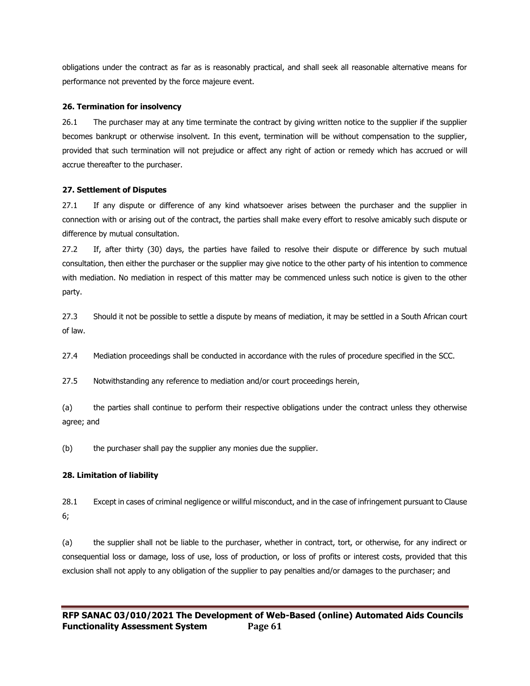obligations under the contract as far as is reasonably practical, and shall seek all reasonable alternative means for performance not prevented by the force majeure event.

#### **26. Termination for insolvency**

26.1 The purchaser may at any time terminate the contract by giving written notice to the supplier if the supplier becomes bankrupt or otherwise insolvent. In this event, termination will be without compensation to the supplier, provided that such termination will not prejudice or affect any right of action or remedy which has accrued or will accrue thereafter to the purchaser.

#### **27. Settlement of Disputes**

27.1 If any dispute or difference of any kind whatsoever arises between the purchaser and the supplier in connection with or arising out of the contract, the parties shall make every effort to resolve amicably such dispute or difference by mutual consultation.

27.2 If, after thirty (30) days, the parties have failed to resolve their dispute or difference by such mutual consultation, then either the purchaser or the supplier may give notice to the other party of his intention to commence with mediation. No mediation in respect of this matter may be commenced unless such notice is given to the other party.

27.3 Should it not be possible to settle a dispute by means of mediation, it may be settled in a South African court of law.

27.4 Mediation proceedings shall be conducted in accordance with the rules of procedure specified in the SCC.

27.5 Notwithstanding any reference to mediation and/or court proceedings herein,

(a) the parties shall continue to perform their respective obligations under the contract unless they otherwise agree; and

(b) the purchaser shall pay the supplier any monies due the supplier.

#### **28. Limitation of liability**

28.1 Except in cases of criminal negligence or willful misconduct, and in the case of infringement pursuant to Clause 6;

(a) the supplier shall not be liable to the purchaser, whether in contract, tort, or otherwise, for any indirect or consequential loss or damage, loss of use, loss of production, or loss of profits or interest costs, provided that this exclusion shall not apply to any obligation of the supplier to pay penalties and/or damages to the purchaser; and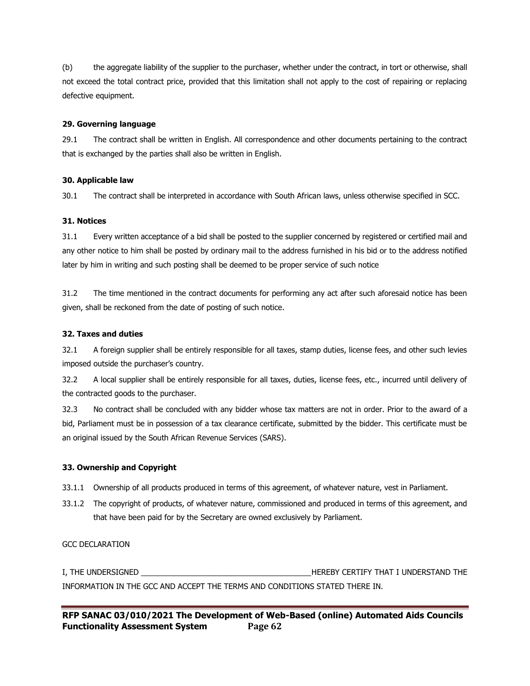(b) the aggregate liability of the supplier to the purchaser, whether under the contract, in tort or otherwise, shall not exceed the total contract price, provided that this limitation shall not apply to the cost of repairing or replacing defective equipment.

#### **29. Governing language**

29.1 The contract shall be written in English. All correspondence and other documents pertaining to the contract that is exchanged by the parties shall also be written in English.

#### **30. Applicable law**

30.1 The contract shall be interpreted in accordance with South African laws, unless otherwise specified in SCC.

#### **31. Notices**

31.1 Every written acceptance of a bid shall be posted to the supplier concerned by registered or certified mail and any other notice to him shall be posted by ordinary mail to the address furnished in his bid or to the address notified later by him in writing and such posting shall be deemed to be proper service of such notice

31.2 The time mentioned in the contract documents for performing any act after such aforesaid notice has been given, shall be reckoned from the date of posting of such notice.

#### **32. Taxes and duties**

32.1 A foreign supplier shall be entirely responsible for all taxes, stamp duties, license fees, and other such levies imposed outside the purchaser's country.

32.2 A local supplier shall be entirely responsible for all taxes, duties, license fees, etc., incurred until delivery of the contracted goods to the purchaser.

32.3 No contract shall be concluded with any bidder whose tax matters are not in order. Prior to the award of a bid, Parliament must be in possession of a tax clearance certificate, submitted by the bidder. This certificate must be an original issued by the South African Revenue Services (SARS).

#### **33. Ownership and Copyright**

- 33.1.1 Ownership of all products produced in terms of this agreement, of whatever nature, vest in Parliament.
- 33.1.2 The copyright of products, of whatever nature, commissioned and produced in terms of this agreement, and that have been paid for by the Secretary are owned exclusively by Parliament.

#### GCC DECLARATION

I, THE UNDERSIGNED \_\_\_\_\_\_\_\_\_\_\_\_\_\_\_\_\_\_\_\_\_\_\_\_\_\_\_\_\_\_\_\_\_\_\_\_\_\_\_\_HEREBY CERTIFY THAT I UNDERSTAND THE INFORMATION IN THE GCC AND ACCEPT THE TERMS AND CONDITIONS STATED THERE IN.

**RFP SANAC 03/010/2021 The Development of Web-Based (online) Automated Aids Councils Functionality Assessment System Page 62**